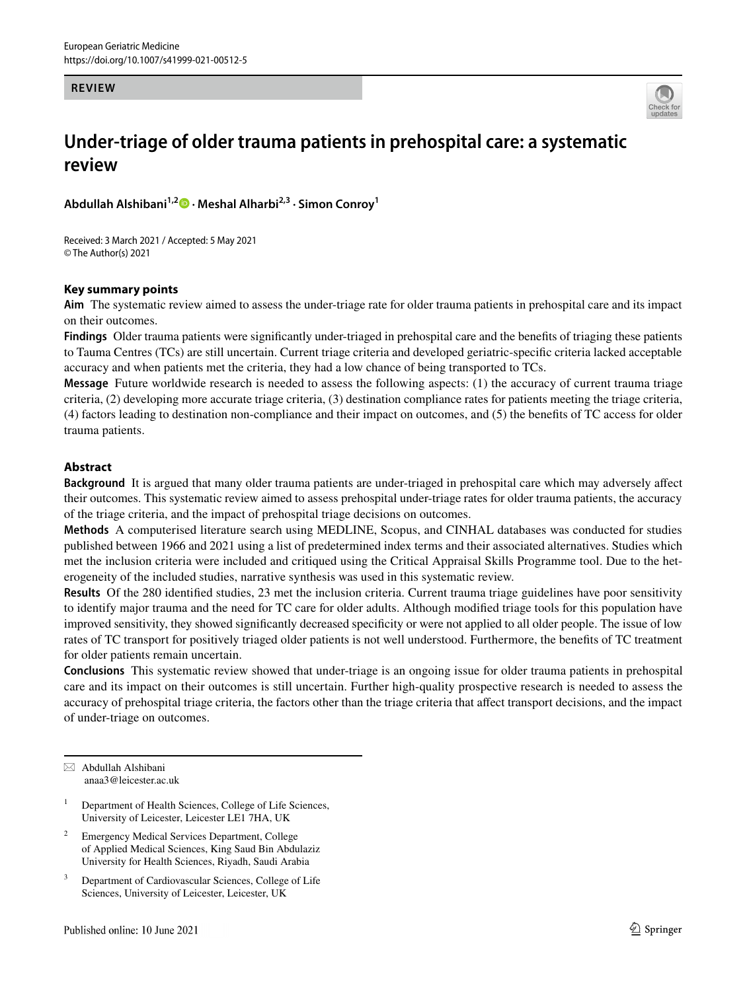#### **REVIEW**



# **Under‑triage of older trauma patients in prehospital care: a systematic review**

**Abdullah Alshibani1,2 · Meshal Alharbi2,3 · Simon Conroy1**

Received: 3 March 2021 / Accepted: 5 May 2021 © The Author(s) 2021

## **Key summary points**

**Aim** The systematic review aimed to assess the under-triage rate for older trauma patients in prehospital care and its impact on their outcomes.

**Findings** Older trauma patients were signifcantly under-triaged in prehospital care and the benefts of triaging these patients to Tauma Centres (TCs) are still uncertain. Current triage criteria and developed geriatric-specifc criteria lacked acceptable accuracy and when patients met the criteria, they had a low chance of being transported to TCs.

**Message** Future worldwide research is needed to assess the following aspects: (1) the accuracy of current trauma triage criteria, (2) developing more accurate triage criteria, (3) destination compliance rates for patients meeting the triage criteria, (4) factors leading to destination non-compliance and their impact on outcomes, and (5) the benefts of TC access for older trauma patients.

## **Abstract**

**Background** It is argued that many older trauma patients are under-triaged in prehospital care which may adversely afect their outcomes. This systematic review aimed to assess prehospital under-triage rates for older trauma patients, the accuracy of the triage criteria, and the impact of prehospital triage decisions on outcomes.

**Methods** A computerised literature search using MEDLINE, Scopus, and CINHAL databases was conducted for studies published between 1966 and 2021 using a list of predetermined index terms and their associated alternatives. Studies which met the inclusion criteria were included and critiqued using the Critical Appraisal Skills Programme tool. Due to the heterogeneity of the included studies, narrative synthesis was used in this systematic review.

**Results** Of the 280 identifed studies, 23 met the inclusion criteria. Current trauma triage guidelines have poor sensitivity to identify major trauma and the need for TC care for older adults. Although modifed triage tools for this population have improved sensitivity, they showed signifcantly decreased specifcity or were not applied to all older people. The issue of low rates of TC transport for positively triaged older patients is not well understood. Furthermore, the benefts of TC treatment for older patients remain uncertain.

**Conclusions** This systematic review showed that under-triage is an ongoing issue for older trauma patients in prehospital care and its impact on their outcomes is still uncertain. Further high-quality prospective research is needed to assess the accuracy of prehospital triage criteria, the factors other than the triage criteria that afect transport decisions, and the impact of under-triage on outcomes.

 $\boxtimes$  Abdullah Alshibani anaa3@leicester.ac.uk

- <sup>1</sup> Department of Health Sciences, College of Life Sciences, University of Leicester, Leicester LE1 7HA, UK
- <sup>2</sup> Emergency Medical Services Department, College of Applied Medical Sciences, King Saud Bin Abdulaziz University for Health Sciences, Riyadh, Saudi Arabia
- <sup>3</sup> Department of Cardiovascular Sciences, College of Life Sciences, University of Leicester, Leicester, UK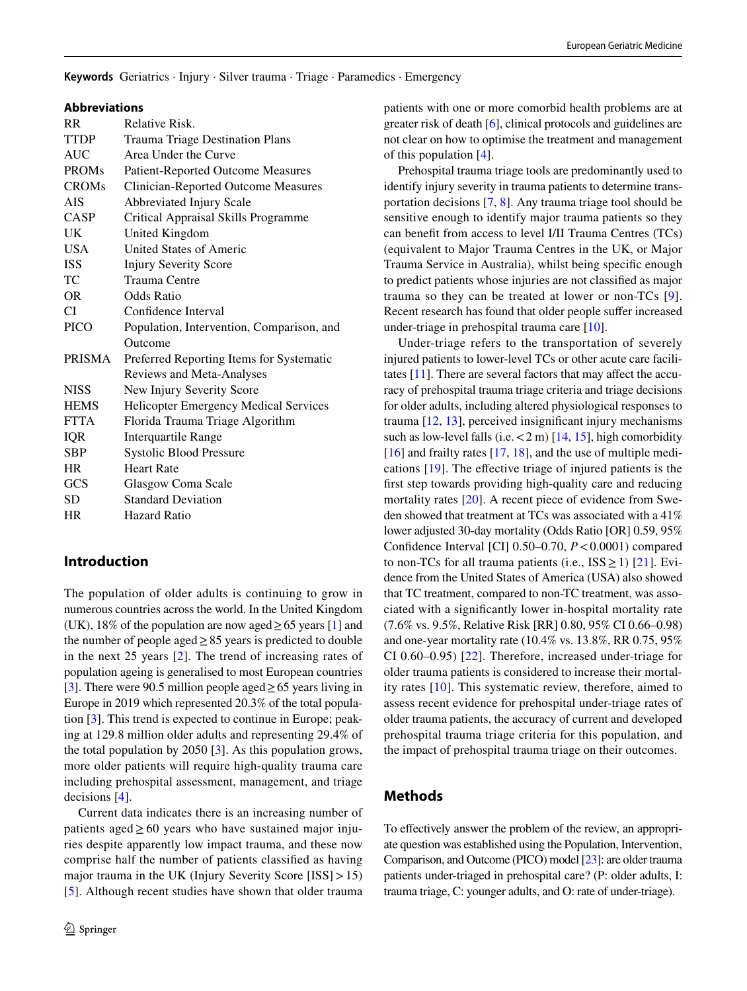**Keywords** Geriatrics · Injury · Silver trauma · Triage · Paramedics · Emergency

#### **Abbreviations**

| <b>RR</b>     | <b>Relative Risk.</b>                      |
|---------------|--------------------------------------------|
| <b>TTDP</b>   | Trauma Triage Destination Plans            |
| AUC           | Area Under the Curve                       |
| <b>PROMs</b>  | <b>Patient-Reported Outcome Measures</b>   |
| <b>CROMs</b>  | <b>Clinician-Reported Outcome Measures</b> |
| <b>AIS</b>    | Abbreviated Injury Scale                   |
| CASP          | Critical Appraisal Skills Programme        |
| UK.           | United Kingdom                             |
| <b>USA</b>    | <b>United States of Americ</b>             |
| <b>ISS</b>    | <b>Injury Severity Score</b>               |
| TC            | Trauma Centre                              |
| OR.           | Odds Ratio                                 |
| CI            | Confidence Interval                        |
| <b>PICO</b>   | Population, Intervention, Comparison, and  |
|               | Outcome                                    |
| <b>PRISMA</b> | Preferred Reporting Items for Systematic   |
|               | Reviews and Meta-Analyses                  |
| NISS          | New Injury Severity Score                  |
| <b>HEMS</b>   | Helicopter Emergency Medical Services      |
| <b>FTTA</b>   | Florida Trauma Triage Algorithm            |
| IQR           | <b>Interquartile Range</b>                 |
| SBP           | <b>Systolic Blood Pressure</b>             |
| HR            | <b>Heart Rate</b>                          |
| GCS           | Glasgow Coma Scale                         |
| SD            | <b>Standard Deviation</b>                  |
| <b>HR</b>     | Hazard Ratio                               |
|               |                                            |

# **Introduction**

The population of older adults is continuing to grow in numerous countries across the world. In the United Kingdom (UK), 18% of the population are now aged  $\geq$  65 years [\[1](#page-14-0)] and the number of people aged  $\geq$  85 years is predicted to double in the next 25 years [\[2](#page-14-1)]. The trend of increasing rates of population ageing is generalised to most European countries [\[3](#page-14-2)]. There were 90.5 million people aged≥65 years living in Europe in 2019 which represented 20.3% of the total population [\[3](#page-14-2)]. This trend is expected to continue in Europe; peaking at 129.8 million older adults and representing 29.4% of the total population by 2050 [[3\]](#page-14-2). As this population grows, more older patients will require high-quality trauma care including prehospital assessment, management, and triage decisions [\[4\]](#page-14-3).

Current data indicates there is an increasing number of patients aged≥60 years who have sustained major injuries despite apparently low impact trauma, and these now comprise half the number of patients classifed as having major trauma in the UK (Injury Severity Score [ISS] > 15) [\[5\]](#page-14-4). Although recent studies have shown that older trauma patients with one or more comorbid health problems are at greater risk of death [\[6](#page-14-5)], clinical protocols and guidelines are not clear on how to optimise the treatment and management of this population [\[4](#page-14-3)].

Prehospital trauma triage tools are predominantly used to identify injury severity in trauma patients to determine transportation decisions [[7,](#page-14-6) [8\]](#page-14-7). Any trauma triage tool should be sensitive enough to identify major trauma patients so they can beneft from access to level I/II Trauma Centres (TCs) (equivalent to Major Trauma Centres in the UK, or Major Trauma Service in Australia), whilst being specifc enough to predict patients whose injuries are not classifed as major trauma so they can be treated at lower or non-TCs [[9](#page-14-8)]. Recent research has found that older people suffer increased under-triage in prehospital trauma care [[10\]](#page-14-9).

Under-triage refers to the transportation of severely injured patients to lower-level TCs or other acute care facilitates  $[11]$  $[11]$ . There are several factors that may affect the accuracy of prehospital trauma triage criteria and triage decisions for older adults, including altered physiological responses to trauma [\[12](#page-14-11), [13](#page-14-12)], perceived insignifcant injury mechanisms such as low-level falls (i.e.  $<$  2 m) [\[14](#page-14-13), [15\]](#page-14-14), high comorbidity  $[16]$  $[16]$  and frailty rates  $[17, 18]$  $[17, 18]$  $[17, 18]$  $[17, 18]$ , and the use of multiple medications [[19\]](#page-15-0). The efective triage of injured patients is the frst step towards providing high-quality care and reducing mortality rates [[20\]](#page-15-1). A recent piece of evidence from Sweden showed that treatment at TCs was associated with a 41% lower adjusted 30-day mortality (Odds Ratio [OR] 0.59, 95% Confdence Interval [CI] 0.50–0.70, *P*<0.0001) compared to non-TCs for all trauma patients (i.e.,  $ISS \ge 1$ ) [[21](#page-15-2)]. Evidence from the United States of America (USA) also showed that TC treatment, compared to non-TC treatment, was associated with a signifcantly lower in-hospital mortality rate (7.6% vs. 9.5%, Relative Risk [RR] 0.80, 95% CI 0.66–0.98) and one-year mortality rate (10.4% vs. 13.8%, RR 0.75, 95% CI 0.60–0.95) [[22](#page-15-3)]. Therefore, increased under-triage for older trauma patients is considered to increase their mortality rates [[10](#page-14-9)]. This systematic review, therefore, aimed to assess recent evidence for prehospital under-triage rates of older trauma patients, the accuracy of current and developed prehospital trauma triage criteria for this population, and the impact of prehospital trauma triage on their outcomes.

# **Methods**

To efectively answer the problem of the review, an appropriate question was established using the Population, Intervention, Comparison, and Outcome (PICO) model [\[23](#page-15-4)]: are older trauma patients under-triaged in prehospital care? (P: older adults, I: trauma triage, C: younger adults, and O: rate of under-triage).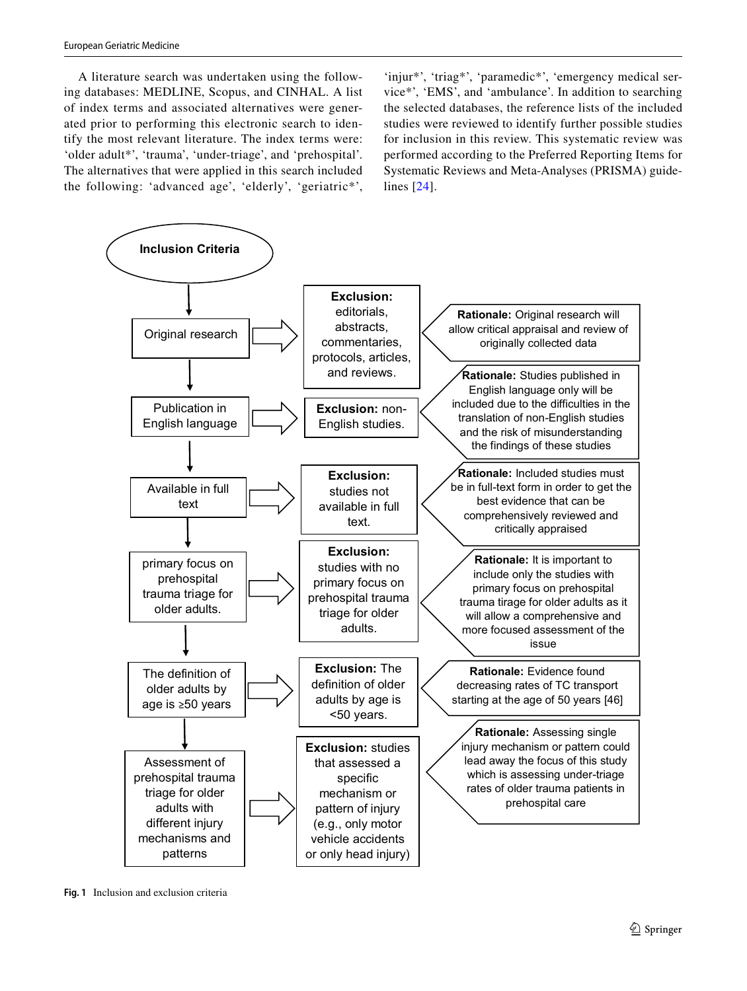A literature search was undertaken using the following databases: MEDLINE, Scopus, and CINHAL. A list of index terms and associated alternatives were generated prior to performing this electronic search to identify the most relevant literature. The index terms were: 'older adult\*', 'trauma', 'under-triage', and 'prehospital'. The alternatives that were applied in this search included the following: 'advanced age', 'elderly', 'geriatric\*',

'injur\*', 'triag\*', 'paramedic\*', 'emergency medical service\*', 'EMS', and 'ambulance'. In addition to searching the selected databases, the reference lists of the included studies were reviewed to identify further possible studies for inclusion in this review. This systematic review was performed according to the Preferred Reporting Items for Systematic Reviews and Meta-Analyses (PRISMA) guidelines [[24\]](#page-15-5).



<span id="page-2-0"></span>**Fig. 1** Inclusion and exclusion criteria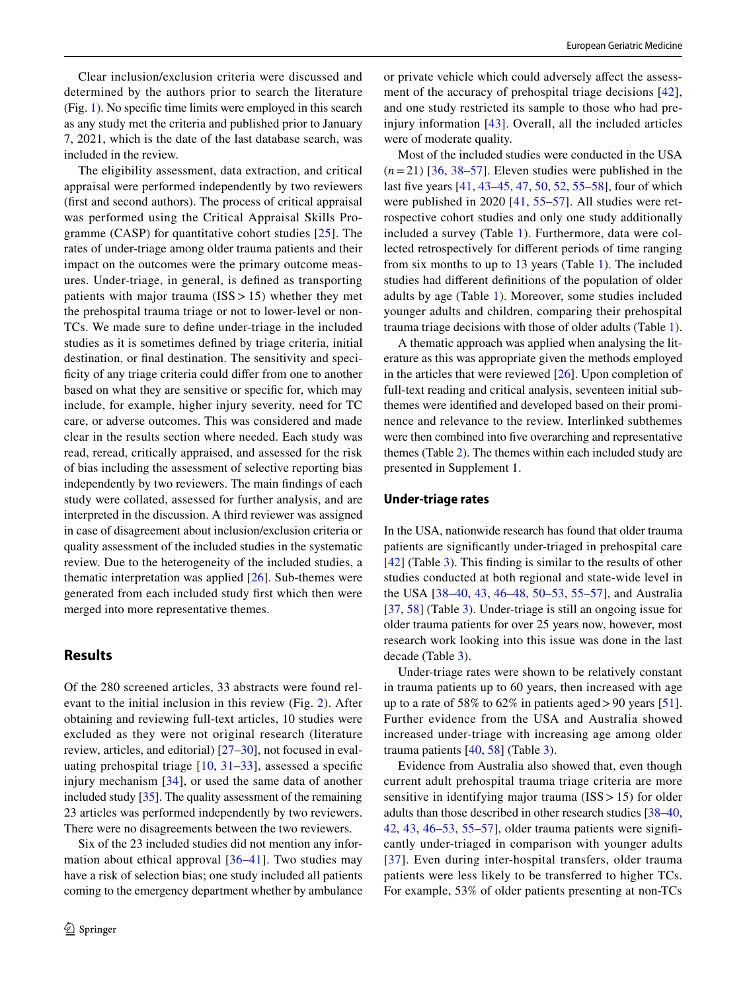Clear inclusion/exclusion criteria were discussed and determined by the authors prior to search the literature (Fig. [1\)](#page-2-0). No specifc time limits were employed in this search as any study met the criteria and published prior to January 7, 2021, which is the date of the last database search, was included in the review.

The eligibility assessment, data extraction, and critical appraisal were performed independently by two reviewers (frst and second authors). The process of critical appraisal was performed using the Critical Appraisal Skills Programme (CASP) for quantitative cohort studies [[25](#page-15-6)]. The rates of under-triage among older trauma patients and their impact on the outcomes were the primary outcome measures. Under-triage, in general, is defned as transporting patients with major trauma  $(ISS > 15)$  whether they met the prehospital trauma triage or not to lower-level or non-TCs. We made sure to defne under-triage in the included studies as it is sometimes defned by triage criteria, initial destination, or fnal destination. The sensitivity and specificity of any triage criteria could differ from one to another based on what they are sensitive or specifc for, which may include, for example, higher injury severity, need for TC care, or adverse outcomes. This was considered and made clear in the results section where needed. Each study was read, reread, critically appraised, and assessed for the risk of bias including the assessment of selective reporting bias independently by two reviewers. The main fndings of each study were collated, assessed for further analysis, and are interpreted in the discussion. A third reviewer was assigned in case of disagreement about inclusion/exclusion criteria or quality assessment of the included studies in the systematic review. Due to the heterogeneity of the included studies, a thematic interpretation was applied  $[26]$ . Sub-themes were generated from each included study frst which then were merged into more representative themes.

# **Results**

Of the 280 screened articles, 33 abstracts were found relevant to the initial inclusion in this review (Fig. [2](#page-4-0)). After obtaining and reviewing full-text articles, 10 studies were excluded as they were not original research (literature review, articles, and editorial) [[27](#page-15-8)[–30](#page-15-9)], not focused in evaluating prehospital triage  $[10, 31-33]$  $[10, 31-33]$  $[10, 31-33]$  $[10, 31-33]$ , assessed a specific injury mechanism [[34\]](#page-15-12), or used the same data of another included study [[35\]](#page-15-13). The quality assessment of the remaining 23 articles was performed independently by two reviewers. There were no disagreements between the two reviewers.

Six of the 23 included studies did not mention any information about ethical approval [[36](#page-15-14)–[41](#page-15-15)]. Two studies may have a risk of selection bias; one study included all patients coming to the emergency department whether by ambulance or private vehicle which could adversely afect the assessment of the accuracy of prehospital triage decisions [[42](#page-15-16)], and one study restricted its sample to those who had preinjury information [[43](#page-15-17)]. Overall, all the included articles were of moderate quality.

Most of the included studies were conducted in the USA  $(n=21)$  [\[36](#page-15-14), [38–](#page-15-18)[57](#page-16-0)]. Eleven studies were published in the last fve years [[41,](#page-15-15) [43–](#page-15-17)[45,](#page-15-19) [47,](#page-15-20) [50,](#page-15-21) [52,](#page-15-22) [55–](#page-15-23)[58\]](#page-16-1), four of which were published in 2020 [[41,](#page-15-15) [55–](#page-15-23)[57\]](#page-16-0). All studies were retrospective cohort studies and only one study additionally included a survey (Table [1\)](#page-5-0). Furthermore, data were collected retrospectively for diferent periods of time ranging from six months to up to 13 years (Table [1\)](#page-5-0). The included studies had diferent defnitions of the population of older adults by age (Table [1](#page-5-0)). Moreover, some studies included younger adults and children, comparing their prehospital trauma triage decisions with those of older adults (Table [1](#page-5-0)).

A thematic approach was applied when analysing the literature as this was appropriate given the methods employed in the articles that were reviewed [[26](#page-15-7)]. Upon completion of full-text reading and critical analysis, seventeen initial subthemes were identifed and developed based on their prominence and relevance to the review. Interlinked subthemes were then combined into fve overarching and representative themes (Table [2\)](#page-5-1). The themes within each included study are presented in Supplement 1.

#### **Under‑triage rates**

In the USA, nationwide research has found that older trauma patients are signifcantly under-triaged in prehospital care [[42\]](#page-15-16) (Table [3\)](#page-6-0). This fnding is similar to the results of other studies conducted at both regional and state-wide level in the USA [[38–](#page-15-18)[40](#page-15-24), [43,](#page-15-17) [46](#page-15-25)[–48](#page-15-26), [50–](#page-15-21)[53](#page-15-27), [55–](#page-15-23)[57\]](#page-16-0), and Australia [[37,](#page-15-28) [58\]](#page-16-1) (Table [3\)](#page-6-0). Under-triage is still an ongoing issue for older trauma patients for over 25 years now, however, most research work looking into this issue was done in the last decade (Table [3](#page-6-0)).

Under-triage rates were shown to be relatively constant in trauma patients up to 60 years, then increased with age up to a rate of 58% to 62% in patients aged>90 years [\[51](#page-15-29)]. Further evidence from the USA and Australia showed increased under-triage with increasing age among older trauma patients [[40](#page-15-24), [58](#page-16-1)] (Table [3](#page-6-0)).

Evidence from Australia also showed that, even though current adult prehospital trauma triage criteria are more sensitive in identifying major trauma (ISS > 15) for older adults than those described in other research studies [[38–](#page-15-18)[40,](#page-15-24) [42](#page-15-16), [43,](#page-15-17) [46–](#page-15-25)[53,](#page-15-27) [55–](#page-15-23)[57\]](#page-16-0), older trauma patients were signifcantly under-triaged in comparison with younger adults [[37](#page-15-28)]. Even during inter-hospital transfers, older trauma patients were less likely to be transferred to higher TCs. For example, 53% of older patients presenting at non-TCs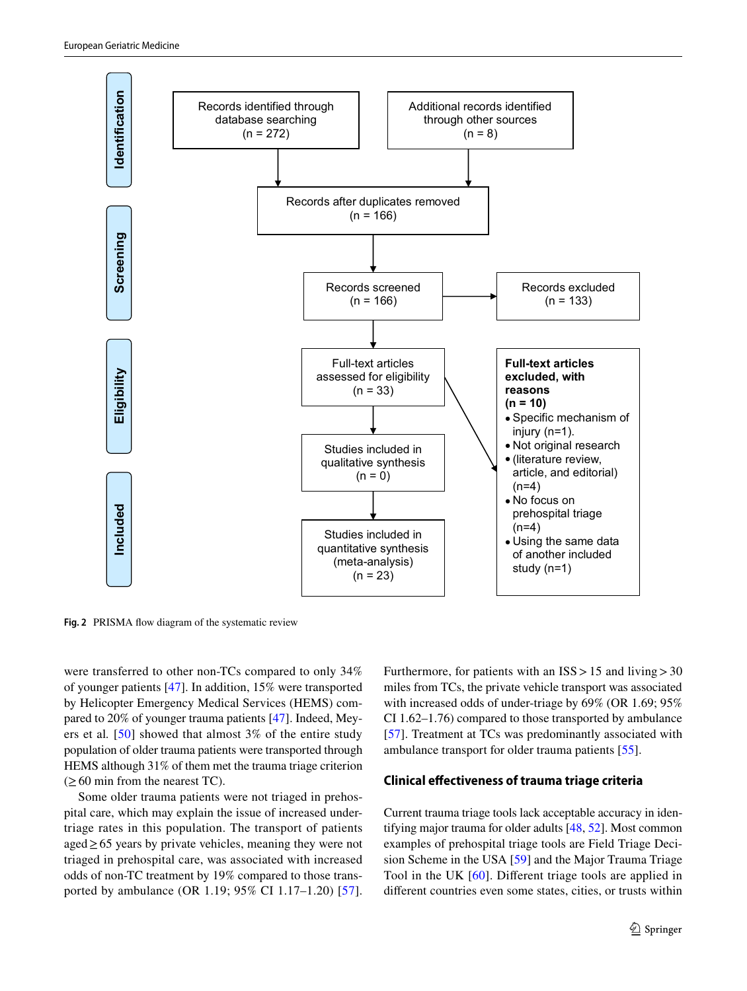

<span id="page-4-0"></span>Fig. 2 PRISMA flow diagram of the systematic review

were transferred to other non-TCs compared to only 34% of younger patients [\[47](#page-15-20)]. In addition, 15% were transported by Helicopter Emergency Medical Services (HEMS) compared to 20% of younger trauma patients [[47\]](#page-15-20). Indeed, Meyers et al*.* [[50\]](#page-15-21) showed that almost 3% of the entire study population of older trauma patients were transported through HEMS although 31% of them met the trauma triage criterion  $(≥60$  min from the nearest TC).

Some older trauma patients were not triaged in prehospital care, which may explain the issue of increased undertriage rates in this population. The transport of patients aged≥65 years by private vehicles, meaning they were not triaged in prehospital care, was associated with increased odds of non-TC treatment by 19% compared to those transported by ambulance (OR 1.19; 95% CI 1.17–1.20) [[57](#page-16-0)]. Furthermore, for patients with an  $ISS > 15$  and living  $> 30$ miles from TCs, the private vehicle transport was associated with increased odds of under-triage by 69% (OR 1.69; 95% CI 1.62–1.76) compared to those transported by ambulance [[57\]](#page-16-0). Treatment at TCs was predominantly associated with ambulance transport for older trauma patients [[55](#page-15-23)].

# **Clinical efectiveness of trauma triage criteria**

Current trauma triage tools lack acceptable accuracy in identifying major trauma for older adults [[48](#page-15-26), [52](#page-15-22)]. Most common examples of prehospital triage tools are Field Triage Decision Scheme in the USA [\[59](#page-16-2)] and the Major Trauma Triage Tool in the UK [[60](#page-16-3)]. Diferent triage tools are applied in diferent countries even some states, cities, or trusts within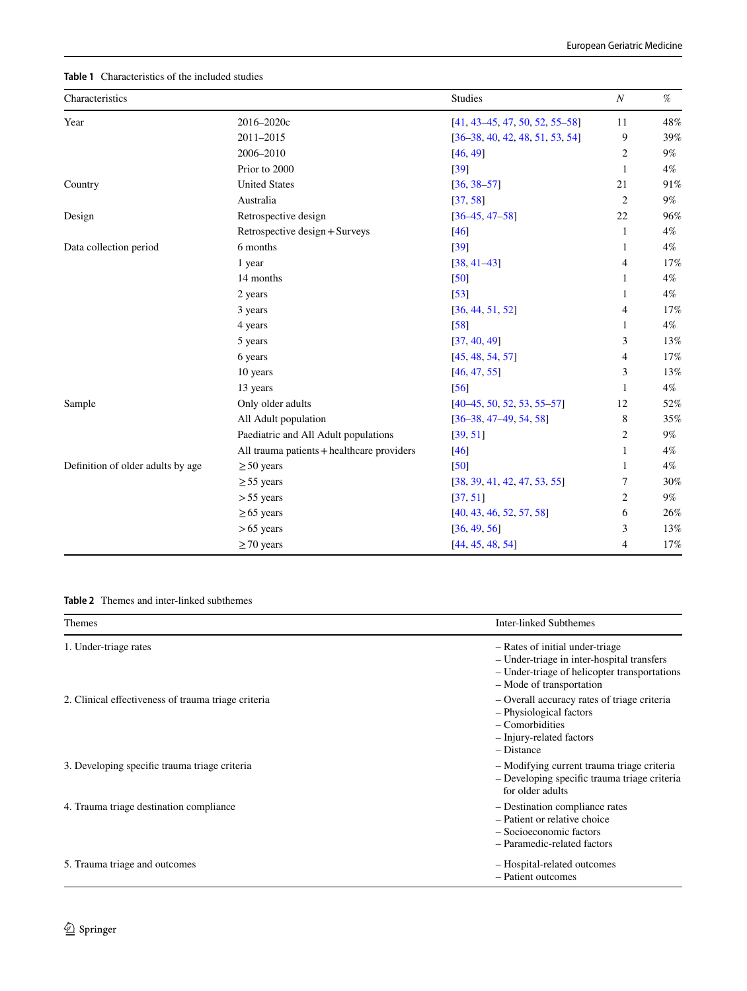# <span id="page-5-0"></span>**Table 1** Characteristics of the included studies

| Characteristics                   |                                            | <b>Studies</b>                    | $\boldsymbol{N}$ | %     |
|-----------------------------------|--------------------------------------------|-----------------------------------|------------------|-------|
| Year                              | 2016-2020c                                 | $[41, 43-45, 47, 50, 52, 55-58]$  | 11               | 48%   |
|                                   | 2011-2015                                  | $[36-38, 40, 42, 48, 51, 53, 54]$ | 9                | 39%   |
|                                   | 2006-2010                                  | [46, 49]                          | $\overline{c}$   | 9%    |
|                                   | Prior to 2000                              | [39]                              | 1                | $4\%$ |
| Country                           | <b>United States</b>                       | $[36, 38 - 57]$                   | 21               | 91%   |
|                                   | Australia                                  | [37, 58]                          | $\mathfrak{2}$   | $9\%$ |
| Design                            | Retrospective design                       | $[36 - 45, 47 - 58]$              | 22               | 96%   |
|                                   | Retrospective design + Surveys             | [46]                              | 1                | $4\%$ |
| Data collection period            | 6 months                                   | [39]                              | 1                | 4%    |
|                                   | 1 year                                     | $[38, 41 - 43]$                   | 4                | 17%   |
|                                   | 14 months                                  | [50]                              | 1                | $4\%$ |
|                                   | 2 years                                    | [53]                              | 1                | $4\%$ |
|                                   | 3 years                                    | [36, 44, 51, 52]                  | 4                | 17%   |
|                                   | 4 years                                    | [58]                              | 1                | 4%    |
|                                   | 5 years                                    | [37, 40, 49]                      | 3                | 13%   |
|                                   | 6 years                                    | [45, 48, 54, 57]                  | 4                | 17%   |
|                                   | 10 years                                   | [46, 47, 55]                      | 3                | 13%   |
|                                   | 13 years                                   | [56]                              | 1                | $4\%$ |
| Sample                            | Only older adults                          | $[40-45, 50, 52, 53, 55-57]$      | 12               | 52%   |
|                                   | All Adult population                       | $[36-38, 47-49, 54, 58]$          | 8                | 35%   |
|                                   | Paediatric and All Adult populations       | [39, 51]                          | $\overline{2}$   | 9%    |
|                                   | All trauma patients + healthcare providers | [46]                              | 1                | $4\%$ |
| Definition of older adults by age | $\geq 50$ years                            | [50]                              | 1                | $4\%$ |
|                                   | $\geq$ 55 years                            | [38, 39, 41, 42, 47, 53, 55]      | 7                | 30%   |
|                                   | $> 55$ years                               | [37, 51]                          | $\overline{c}$   | 9%    |
|                                   | $\geq 65$ years                            | [40, 43, 46, 52, 57, 58]          | 6                | 26%   |
|                                   | $>65$ years                                | [36, 49, 56]                      | 3                | 13%   |
|                                   | $\geq$ 70 years                            | [44, 45, 48, 54]                  | 4                | 17%   |
|                                   |                                            |                                   |                  |       |

# <span id="page-5-1"></span>**Table 2** Themes and inter-linked subthemes

| <b>Themes</b>                                       | Inter-linked Subthemes                                                                                                                                    |
|-----------------------------------------------------|-----------------------------------------------------------------------------------------------------------------------------------------------------------|
| 1. Under-triage rates                               | - Rates of initial under-triage<br>- Under-triage in inter-hospital transfers<br>- Under-triage of helicopter transportations<br>- Mode of transportation |
| 2. Clinical effectiveness of trauma triage criteria | - Overall accuracy rates of triage criteria<br>- Physiological factors<br>$-$ Comorbidities<br>- Injury-related factors<br>$-$ Distance                   |
| 3. Developing specific trauma triage criteria       | - Modifying current trauma triage criteria<br>- Developing specific trauma triage criteria<br>for older adults                                            |
| 4. Trauma triage destination compliance             | - Destination compliance rates<br>- Patient or relative choice<br>- Socioeconomic factors<br>- Paramedic-related factors                                  |
| 5. Trauma triage and outcomes                       | - Hospital-related outcomes<br>- Patient outcomes                                                                                                         |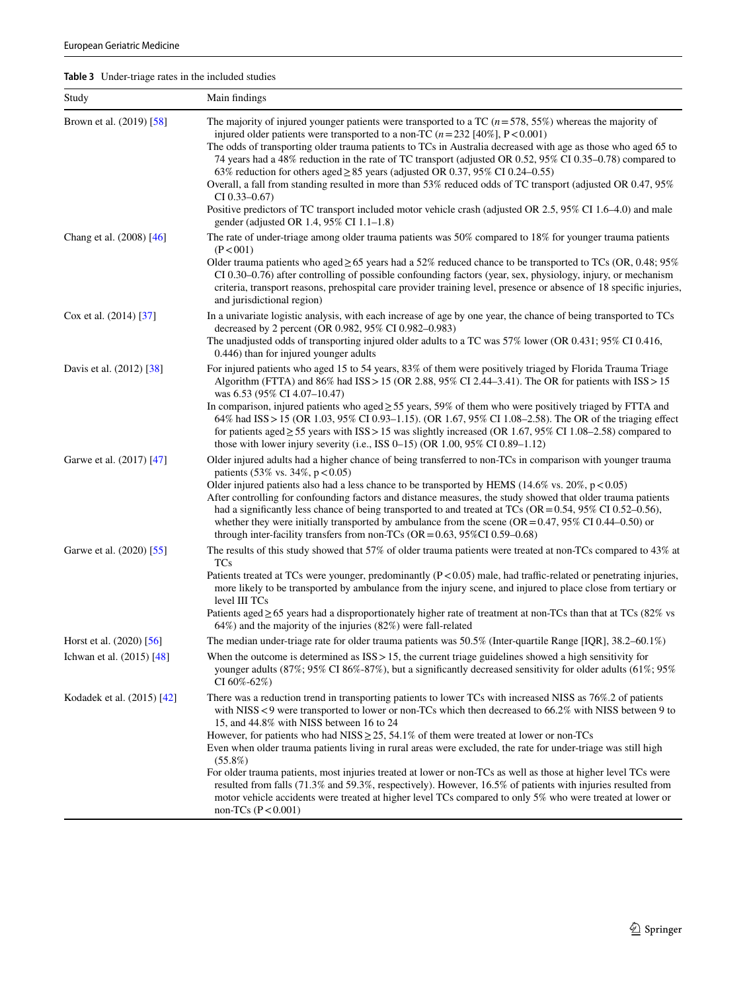<span id="page-6-0"></span>**Table 3** Under-triage rates in the included studies

| Study                      | Main findings                                                                                                                                                                                                                                                                                                                                                                                                                                                                                                                                                                                                                                                                                                                                                                                                                                                           |
|----------------------------|-------------------------------------------------------------------------------------------------------------------------------------------------------------------------------------------------------------------------------------------------------------------------------------------------------------------------------------------------------------------------------------------------------------------------------------------------------------------------------------------------------------------------------------------------------------------------------------------------------------------------------------------------------------------------------------------------------------------------------------------------------------------------------------------------------------------------------------------------------------------------|
| Brown et al. (2019) [58]   | The majority of injured younger patients were transported to a TC $(n=578, 55%)$ whereas the majority of<br>injured older patients were transported to a non-TC $(n=232 \, [40\%]$ , P < 0.001)<br>The odds of transporting older trauma patients to TCs in Australia decreased with age as those who aged 65 to<br>74 years had a 48% reduction in the rate of TC transport (adjusted OR 0.52, 95% CI 0.35–0.78) compared to<br>63% reduction for others aged $\geq$ 85 years (adjusted OR 0.37, 95% CI 0.24–0.55)<br>Overall, a fall from standing resulted in more than 53% reduced odds of TC transport (adjusted OR 0.47, 95%<br>$CI$ 0.33–0.67)<br>Positive predictors of TC transport included motor vehicle crash (adjusted OR 2.5, 95% CI 1.6–4.0) and male<br>gender (adjusted OR 1.4, 95% CI 1.1-1.8)                                                        |
| Chang et al. (2008) [46]   | The rate of under-triage among older trauma patients was 50% compared to 18% for younger trauma patients<br>(P < 001)<br>Older trauma patients who aged $\geq$ 65 years had a 52% reduced chance to be transported to TCs (OR, 0.48; 95%<br>CI 0.30–0.76) after controlling of possible confounding factors (year, sex, physiology, injury, or mechanism<br>criteria, transport reasons, prehospital care provider training level, presence or absence of 18 specific injuries,<br>and jurisdictional region)                                                                                                                                                                                                                                                                                                                                                           |
| Cox et al. (2014) [37]     | In a univariate logistic analysis, with each increase of age by one year, the chance of being transported to TCs<br>decreased by 2 percent (OR 0.982, 95% CI 0.982-0.983)<br>The unadjusted odds of transporting injured older adults to a TC was 57% lower (OR 0.431; 95% CI 0.416,<br>0.446) than for injured younger adults                                                                                                                                                                                                                                                                                                                                                                                                                                                                                                                                          |
| Davis et al. (2012) [38]   | For injured patients who aged 15 to 54 years, 83% of them were positively triaged by Florida Trauma Triage<br>Algorithm (FTTA) and $86\%$ had $ISS > 15$ (OR 2.88, 95% CI 2.44–3.41). The OR for patients with $ISS > 15$<br>was 6.53 (95% CI 4.07-10.47)<br>In comparison, injured patients who aged $\geq$ 55 years, 59% of them who were positively triaged by FTTA and<br>64% had ISS > 15 (OR 1.03, 95% CI 0.93–1.15). (OR 1.67, 95% CI 1.08–2.58). The OR of the triaging effect<br>for patients aged $\geq$ 55 years with ISS > 15 was slightly increased (OR 1.67, 95% CI 1.08–2.58) compared to<br>those with lower injury severity (i.e., ISS $0-15$ ) (OR 1.00, 95% CI 0.89-1.12)                                                                                                                                                                            |
| Garwe et al. (2017) [47]   | Older injured adults had a higher chance of being transferred to non-TCs in comparison with younger trauma<br>patients $(53\% \text{ vs. } 34\%, \text{ p} < 0.05)$<br>Older injured patients also had a less chance to be transported by HEMS $(14.6\% \text{ vs. } 20\%, \text{ p} < 0.05)$<br>After controlling for confounding factors and distance measures, the study showed that older trauma patients<br>had a significantly less chance of being transported to and treated at TCs ( $OR = 0.54$ , $95\%$ CI 0.52–0.56),<br>whether they were initially transported by ambulance from the scene (OR = $0.47$ , 95% CI 0.44–0.50) or<br>through inter-facility transfers from non-TCs ( $OR = 0.63$ , 95%CI 0.59–0.68)                                                                                                                                          |
| Garwe et al. (2020) [55]   | The results of this study showed that 57% of older trauma patients were treated at non-TCs compared to 43% at<br><b>TCs</b><br>Patients treated at TCs were younger, predominantly $(P<0.05)$ male, had traffic-related or penetrating injuries,<br>more likely to be transported by ambulance from the injury scene, and injured to place close from tertiary or<br>level III TCs<br>Patients aged $\geq$ 65 years had a disproportionately higher rate of treatment at non-TCs than that at TCs (82% vs<br>$64\%$ ) and the majority of the injuries (82%) were fall-related                                                                                                                                                                                                                                                                                          |
| Horst et al. (2020) [56]   | The median under-triage rate for older trauma patients was 50.5% (Inter-quartile Range [IQR], 38.2–60.1%)                                                                                                                                                                                                                                                                                                                                                                                                                                                                                                                                                                                                                                                                                                                                                               |
| Ichwan et al. (2015) [48]  | When the outcome is determined as $ISS > 15$ , the current triage guidelines showed a high sensitivity for<br>younger adults $(87\%, 95\% \text{ CI } 86\% - 87\%)$ , but a significantly decreased sensitivity for older adults $(61\%, 95\%)$<br>CI 60%-62%)                                                                                                                                                                                                                                                                                                                                                                                                                                                                                                                                                                                                          |
| Kodadek et al. (2015) [42] | There was a reduction trend in transporting patients to lower TCs with increased NISS as 76%.2 of patients<br>with NISS < 9 were transported to lower or non-TCs which then decreased to 66.2% with NISS between 9 to<br>15, and 44.8% with NISS between 16 to 24<br>However, for patients who had NISS $\geq$ 25, 54.1% of them were treated at lower or non-TCs<br>Even when older trauma patients living in rural areas were excluded, the rate for under-triage was still high<br>$(55.8\%)$<br>For older trauma patients, most injuries treated at lower or non-TCs as well as those at higher level TCs were<br>resulted from falls (71.3% and 59.3%, respectively). However, 16.5% of patients with injuries resulted from<br>motor vehicle accidents were treated at higher level TCs compared to only 5% who were treated at lower or<br>non-TCs $(P < 0.001)$ |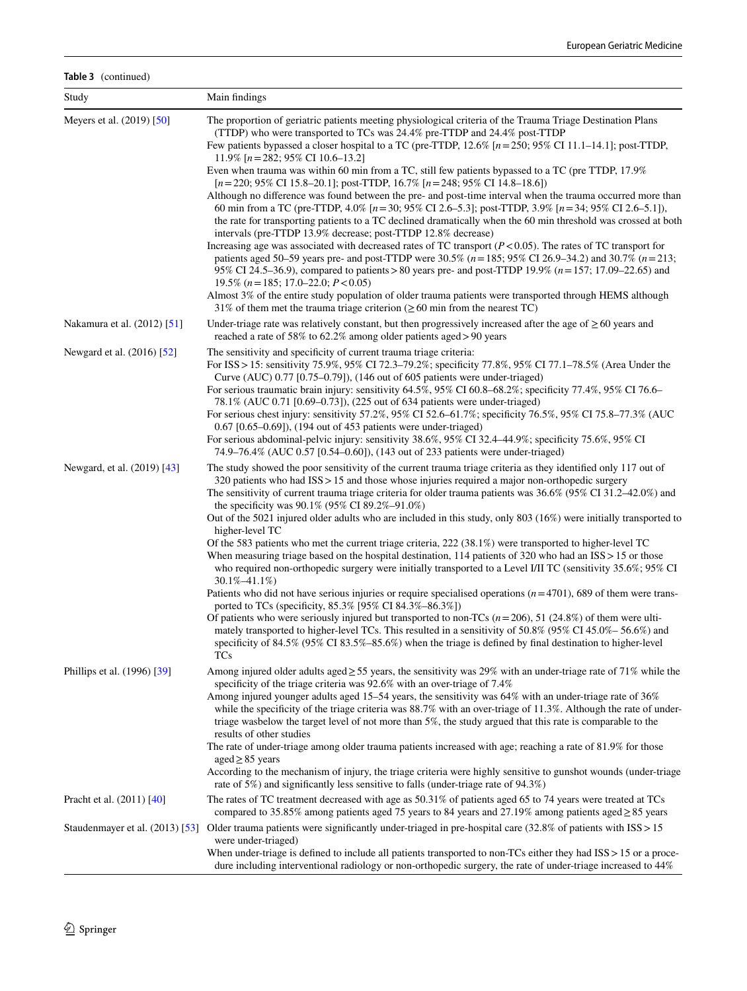# **Table 3** (continued)

| Study                             | Main findings                                                                                                                                                                                                                                                                                                                                                                                                                                                                                                                                                                                                                                                                                                                                                                                                                                                                                                                                                                                                                                                                                                                                                                                                                                                                                                                                                                                                                       |
|-----------------------------------|-------------------------------------------------------------------------------------------------------------------------------------------------------------------------------------------------------------------------------------------------------------------------------------------------------------------------------------------------------------------------------------------------------------------------------------------------------------------------------------------------------------------------------------------------------------------------------------------------------------------------------------------------------------------------------------------------------------------------------------------------------------------------------------------------------------------------------------------------------------------------------------------------------------------------------------------------------------------------------------------------------------------------------------------------------------------------------------------------------------------------------------------------------------------------------------------------------------------------------------------------------------------------------------------------------------------------------------------------------------------------------------------------------------------------------------|
| Meyers et al. (2019) [50]         | The proportion of geriatric patients meeting physiological criteria of the Trauma Triage Destination Plans<br>(TTDP) who were transported to TCs was 24.4% pre-TTDP and 24.4% post-TTDP<br>Few patients bypassed a closer hospital to a TC (pre-TTDP, $12.6\%$ [ $n = 250$ ; 95% CI 11.1–14.1]; post-TTDP,<br>11.9% $[n=282; 95\% \text{ CI} 10.6-13.2]$<br>Even when trauma was within 60 min from a TC, still few patients bypassed to a TC (pre TTDP, 17.9%<br>$[n=220; 95\% \text{ CI } 15.8-20.1]$ ; post-TTDP, 16.7% $[n=248; 95\% \text{ CI } 14.8-18.6]$ )<br>Although no difference was found between the pre- and post-time interval when the trauma occurred more than<br>60 min from a TC (pre-TTDP, 4.0% [n = 30; 95% CI 2.6–5.3]; post-TTDP, 3.9% [n = 34; 95% CI 2.6–5.1]),<br>the rate for transporting patients to a TC declined dramatically when the 60 min threshold was crossed at both<br>intervals (pre-TTDP 13.9% decrease; post-TTDP 12.8% decrease)<br>Increasing age was associated with decreased rates of TC transport $(P<0.05)$ . The rates of TC transport for<br>patients aged 50–59 years pre- and post-TTDP were 30.5% ( $n = 185$ ; 95% CI 26.9–34.2) and 30.7% ( $n = 213$ ;<br>95% CI 24.5–36.9), compared to patients > 80 years pre- and post-TTDP 19.9% (n = 157; 17.09–22.65) and<br>19.5% ( $n = 185$ ; 17.0–22.0; $P < 0.05$ )                                                          |
|                                   | Almost 3% of the entire study population of older trauma patients were transported through HEMS although<br>31% of them met the trauma triage criterion ( $\geq 60$ min from the nearest TC)                                                                                                                                                                                                                                                                                                                                                                                                                                                                                                                                                                                                                                                                                                                                                                                                                                                                                                                                                                                                                                                                                                                                                                                                                                        |
| Nakamura et al. (2012) [51]       | Under-triage rate was relatively constant, but then progressively increased after the age of $\geq 60$ years and<br>reached a rate of 58% to 62.2% among older patients aged > 90 years                                                                                                                                                                                                                                                                                                                                                                                                                                                                                                                                                                                                                                                                                                                                                                                                                                                                                                                                                                                                                                                                                                                                                                                                                                             |
| Newgard et al. (2016) [52]        | The sensitivity and specificity of current trauma triage criteria:<br>For ISS > 15: sensitivity 75.9%, 95% CI 72.3–79.2%; specificity 77.8%, 95% CI 77.1–78.5% (Area Under the<br>Curve (AUC) 0.77 [0.75–0.79]), (146 out of 605 patients were under-triaged)<br>For serious traumatic brain injury: sensitivity 64.5%, 95% CI 60.8–68.2%; specificity 77.4%, 95% CI 76.6–<br>78.1% (AUC 0.71 [0.69-0.73]), (225 out of 634 patients were under-triaged)<br>For serious chest injury: sensitivity 57.2%, 95% CI 52.6–61.7%; specificity 76.5%, 95% CI 75.8–77.3% (AUC<br>0.67 [0.65–0.69]), (194 out of 453 patients were under-triaged)<br>For serious abdominal-pelvic injury: sensitivity 38.6%, 95% CI 32.4–44.9%; specificity 75.6%, 95% CI<br>74.9–76.4% (AUC 0.57 [0.54–0.60]), (143 out of 233 patients were under-triaged)                                                                                                                                                                                                                                                                                                                                                                                                                                                                                                                                                                                                 |
| Newgard, et al. (2019) [43]       | The study showed the poor sensitivity of the current trauma triage criteria as they identified only 117 out of<br>320 patients who had ISS > 15 and those whose injuries required a major non-orthopedic surgery<br>The sensitivity of current trauma triage criteria for older trauma patients was 36.6% (95% CI 31.2–42.0%) and<br>the specificity was 90.1% (95% CI 89.2%-91.0%)<br>Out of the 5021 injured older adults who are included in this study, only 803 (16%) were initially transported to<br>higher-level TC<br>Of the 583 patients who met the current triage criteria, 222 (38.1%) were transported to higher-level TC<br>When measuring triage based on the hospital destination, $114$ patients of 320 who had an ISS > 15 or those<br>who required non-orthopedic surgery were initially transported to a Level I/II TC (sensitivity 35.6%; 95% CI<br>$30.1\% - 41.1\%$<br>Patients who did not have serious injuries or require specialised operations $(n=4701)$ , 689 of them were trans-<br>ported to TCs (specificity, 85.3% [95% CI 84.3%-86.3%])<br>Of patients who were seriously injured but transported to non-TCs $(n=206)$ , 51 (24.8%) of them were ulti-<br>mately transported to higher-level TCs. This resulted in a sensitivity of 50.8% (95% CI 45.0% – 56.6%) and<br>specificity of 84.5% (95% CI 83.5%–85.6%) when the triage is defined by final destination to higher-level<br><b>TCs</b> |
| Phillips et al. (1996) [39]       | Among injured older adults aged $\geq$ 55 years, the sensitivity was 29% with an under-triage rate of 71% while the<br>specificity of the triage criteria was 92.6% with an over-triage of 7.4%<br>Among injured younger adults aged 15–54 years, the sensitivity was 64% with an under-triage rate of 36%<br>while the specificity of the triage criteria was 88.7% with an over-triage of 11.3%. Although the rate of under-<br>triage washelow the target level of not more than 5%, the study argued that this rate is comparable to the<br>results of other studies<br>The rate of under-triage among older trauma patients increased with age; reaching a rate of 81.9% for those<br>$aged \geq 85$ years<br>According to the mechanism of injury, the triage criteria were highly sensitive to gunshot wounds (under-triage<br>rate of 5%) and significantly less sensitive to falls (under-triage rate of 94.3%)                                                                                                                                                                                                                                                                                                                                                                                                                                                                                                            |
| Pracht et al. (2011) [40]         | The rates of TC treatment decreased with age as 50.31% of patients aged 65 to 74 years were treated at TCs<br>compared to 35.85% among patients aged 75 years to 84 years and 27.19% among patients aged $\geq$ 85 years                                                                                                                                                                                                                                                                                                                                                                                                                                                                                                                                                                                                                                                                                                                                                                                                                                                                                                                                                                                                                                                                                                                                                                                                            |
| Staudenmayer et al. $(2013)$ [53] | Older trauma patients were significantly under-triaged in pre-hospital care $(32.8\%$ of patients with ISS > 15<br>were under-triaged)<br>When under-triage is defined to include all patients transported to non-TCs either they had ISS > 15 or a proce-<br>dure including interventional radiology or non-orthopedic surgery, the rate of under-triage increased to 44%                                                                                                                                                                                                                                                                                                                                                                                                                                                                                                                                                                                                                                                                                                                                                                                                                                                                                                                                                                                                                                                          |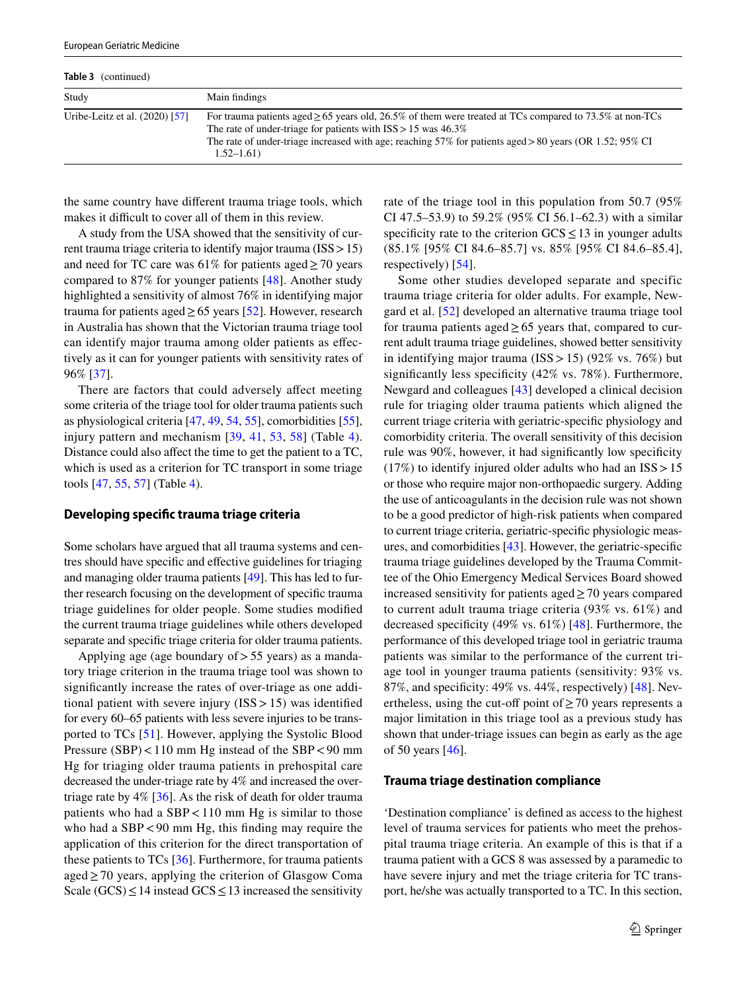| <b>Table 3</b> (continued)     |                                                                                                                                                                                                                                                                                                                      |
|--------------------------------|----------------------------------------------------------------------------------------------------------------------------------------------------------------------------------------------------------------------------------------------------------------------------------------------------------------------|
| Study                          | Main findings                                                                                                                                                                                                                                                                                                        |
| Uribe-Leitz et al. (2020) [57] | For trauma patients aged $\geq 65$ years old, 26.5% of them were treated at TCs compared to 73.5% at non-TCs<br>The rate of under-triage for patients with $ISS > 15$ was $46.3\%$<br>The rate of under-triage increased with age; reaching $57\%$ for patients aged > 80 years (OR 1.52; $95\%$ CI<br>$1.52 - 1.61$ |

the same country have diferent trauma triage tools, which makes it difficult to cover all of them in this review.

A study from the USA showed that the sensitivity of current trauma triage criteria to identify major trauma (ISS>15) and need for TC care was 61% for patients aged  $\geq$  70 years compared to 87% for younger patients [\[48\]](#page-15-26). Another study highlighted a sensitivity of almost 76% in identifying major trauma for patients aged  $\geq$  65 years [[52\]](#page-15-22). However, research in Australia has shown that the Victorian trauma triage tool can identify major trauma among older patients as efectively as it can for younger patients with sensitivity rates of 96% [\[37\]](#page-15-28).

There are factors that could adversely affect meeting some criteria of the triage tool for older trauma patients such as physiological criteria [\[47](#page-15-20), [49,](#page-15-31) [54](#page-15-30), [55](#page-15-23)], comorbidities [\[55](#page-15-23)], injury pattern and mechanism [[39](#page-15-32), [41](#page-15-15), [53](#page-15-27), [58\]](#page-16-1) (Table [4](#page-9-0)). Distance could also afect the time to get the patient to a TC, which is used as a criterion for TC transport in some triage tools [[47,](#page-15-20) [55,](#page-15-23) [57\]](#page-16-0) (Table [4](#page-9-0)).

#### **Developing specifc trauma triage criteria**

Some scholars have argued that all trauma systems and centres should have specifc and efective guidelines for triaging and managing older trauma patients [\[49](#page-15-31)]. This has led to further research focusing on the development of specifc trauma triage guidelines for older people. Some studies modifed the current trauma triage guidelines while others developed separate and specifc triage criteria for older trauma patients.

Applying age (age boundary of  $> 55$  years) as a mandatory triage criterion in the trauma triage tool was shown to signifcantly increase the rates of over-triage as one additional patient with severe injury  $(ISS > 15)$  was identified for every 60–65 patients with less severe injuries to be transported to TCs [\[51](#page-15-29)]. However, applying the Systolic Blood Pressure (SBP)<110 mm Hg instead of the SBP<90 mm Hg for triaging older trauma patients in prehospital care decreased the under-triage rate by 4% and increased the overtriage rate by  $4\%$  [[36\]](#page-15-14). As the risk of death for older trauma patients who had a SBP<110 mm Hg is similar to those who had a  $SBP < 90$  mm Hg, this finding may require the application of this criterion for the direct transportation of these patients to TCs [\[36](#page-15-14)]. Furthermore, for trauma patients aged≥70 years, applying the criterion of Glasgow Coma Scale (GCS)  $\leq$  14 instead GCS  $\leq$  13 increased the sensitivity rate of the triage tool in this population from 50.7 (95% CI 47.5–53.9) to 59.2% (95% CI 56.1–62.3) with a similar specificity rate to the criterion  $GCS \le 13$  in younger adults (85.1% [95% CI 84.6–85.7] vs. 85% [95% CI 84.6–85.4], respectively) [[54\]](#page-15-30).

Some other studies developed separate and specific trauma triage criteria for older adults. For example, Newgard et al. [\[52](#page-15-22)] developed an alternative trauma triage tool for trauma patients aged  $\geq$  65 years that, compared to current adult trauma triage guidelines, showed better sensitivity in identifying major trauma  $(ISS > 15)$  (92% vs. 76%) but significantly less specificity (42% vs. 78%). Furthermore, Newgard and colleagues [\[43](#page-15-17)] developed a clinical decision rule for triaging older trauma patients which aligned the current triage criteria with geriatric-specifc physiology and comorbidity criteria. The overall sensitivity of this decision rule was 90%, however, it had signifcantly low specifcity  $(17%)$  to identify injured older adults who had an ISS > 15 or those who require major non-orthopaedic surgery. Adding the use of anticoagulants in the decision rule was not shown to be a good predictor of high-risk patients when compared to current triage criteria, geriatric-specifc physiologic measures, and comorbidities [\[43](#page-15-17)]. However, the geriatric-specifc trauma triage guidelines developed by the Trauma Committee of the Ohio Emergency Medical Services Board showed increased sensitivity for patients aged $\geq$  70 years compared to current adult trauma triage criteria (93% vs. 61%) and decreased specifcity (49% vs. 61%) [\[48](#page-15-26)]. Furthermore, the performance of this developed triage tool in geriatric trauma patients was similar to the performance of the current triage tool in younger trauma patients (sensitivity: 93% vs. 87%, and specifcity: 49% vs. 44%, respectively) [\[48](#page-15-26)]. Nevertheless, using the cut-off point of  $\geq$  70 years represents a major limitation in this triage tool as a previous study has shown that under-triage issues can begin as early as the age of 50 years [\[46\]](#page-15-25).

#### **Trauma triage destination compliance**

'Destination compliance' is defned as access to the highest level of trauma services for patients who meet the prehospital trauma triage criteria. An example of this is that if a trauma patient with a GCS 8 was assessed by a paramedic to have severe injury and met the triage criteria for TC transport, he/she was actually transported to a TC. In this section,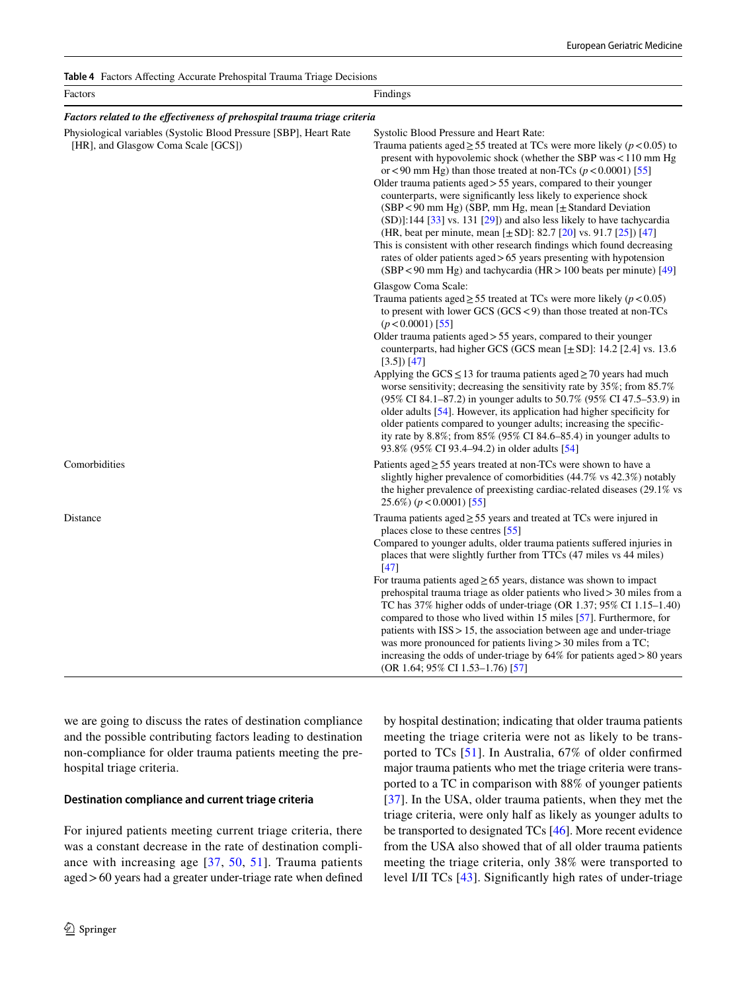<span id="page-9-0"></span>**Table 4** Factors Afecting Accurate Prehospital Trauma Triage Decisions

| Factors                                                                                                   | Findings                                                                                                                                                                                                                                                                                                                                                                                                                                                                                                                                                                                                                                                                                                                                                                                                                                                                               |
|-----------------------------------------------------------------------------------------------------------|----------------------------------------------------------------------------------------------------------------------------------------------------------------------------------------------------------------------------------------------------------------------------------------------------------------------------------------------------------------------------------------------------------------------------------------------------------------------------------------------------------------------------------------------------------------------------------------------------------------------------------------------------------------------------------------------------------------------------------------------------------------------------------------------------------------------------------------------------------------------------------------|
| Factors related to the effectiveness of prehospital trauma triage criteria                                |                                                                                                                                                                                                                                                                                                                                                                                                                                                                                                                                                                                                                                                                                                                                                                                                                                                                                        |
| Physiological variables (Systolic Blood Pressure [SBP], Heart Rate<br>[HR], and Glasgow Coma Scale [GCS]) | Systolic Blood Pressure and Heart Rate:<br>Trauma patients aged $\geq$ 55 treated at TCs were more likely ( $p$ < 0.05) to<br>present with hypovolemic shock (whether the SBP was $< 110$ mm Hg<br>or <90 mm Hg) than those treated at non-TCs ( $p < 0.0001$ ) [55]<br>Older trauma patients aged $> 55$ years, compared to their younger<br>counterparts, were significantly less likely to experience shock<br>(SBP < 90 mm Hg) (SBP, mm Hg, mean [± Standard Deviation<br>(SD)]:144 [33] vs. 131 [29]) and also less likely to have tachycardia<br>(HR, beat per minute, mean $[\pm SD]$ : 82.7 [20] vs. 91.7 [25]) [47]<br>This is consistent with other research findings which found decreasing<br>rates of older patients aged > 65 years presenting with hypotension<br>(SBP < 90 mm Hg) and tachycardia (HR > 100 beats per minute) [49]                                     |
|                                                                                                           | Glasgow Coma Scale:<br>Trauma patients aged $\geq$ 55 treated at TCs were more likely ( $p$ < 0.05)<br>to present with lower GCS $(GCS < 9)$ than those treated at non-TCs<br>$(p < 0.0001)$ [55]<br>Older trauma patients aged $> 55$ years, compared to their younger<br>counterparts, had higher GCS (GCS mean $[\pm SD]$ : 14.2 [2.4] vs. 13.6<br>$[3.5]$ $[47]$<br>Applying the GCS $\leq$ 13 for trauma patients aged $\geq$ 70 years had much<br>worse sensitivity; decreasing the sensitivity rate by $35\%$ ; from $85.7\%$<br>(95% CI 84.1–87.2) in younger adults to 50.7% (95% CI 47.5–53.9) in<br>older adults [54]. However, its application had higher specificity for<br>older patients compared to younger adults; increasing the specific-<br>ity rate by 8.8%; from $85\%$ (95% CI 84.6–85.4) in younger adults to<br>93.8% (95% CI 93.4–94.2) in older adults [54] |
| Comorbidities                                                                                             | Patients aged $\geq$ 55 years treated at non-TCs were shown to have a<br>slightly higher prevalence of comorbidities (44.7% vs 42.3%) notably<br>the higher prevalence of preexisting cardiac-related diseases (29.1% vs<br>$25.6\%$ ) ( $p < 0.0001$ ) [55]                                                                                                                                                                                                                                                                                                                                                                                                                                                                                                                                                                                                                           |
| Distance                                                                                                  | Trauma patients aged $\geq$ 55 years and treated at TCs were injured in<br>places close to these centres [55]<br>Compared to younger adults, older trauma patients suffered injuries in<br>places that were slightly further from TTCs (47 miles vs 44 miles)<br>[47]<br>For trauma patients aged $\geq 65$ years, distance was shown to impact<br>prehospital trauma triage as older patients who lived $>$ 30 miles from a<br>TC has 37% higher odds of under-triage (OR 1.37; 95% CI 1.15–1.40)<br>compared to those who lived within 15 miles [57]. Furthermore, for<br>patients with $ISS > 15$ , the association between age and under-triage<br>was more pronounced for patients living $>$ 30 miles from a TC;<br>increasing the odds of under-triage by $64\%$ for patients aged $> 80$ years<br>(OR 1.64; 95% CI 1.53–1.76) [57]                                             |

we are going to discuss the rates of destination compliance and the possible contributing factors leading to destination non-compliance for older trauma patients meeting the prehospital triage criteria.

#### **Destination compliance and current triage criteria**

For injured patients meeting current triage criteria, there was a constant decrease in the rate of destination compliance with increasing age [[37](#page-15-28), [50](#page-15-21), [51](#page-15-29)]. Trauma patients aged>60 years had a greater under-triage rate when defned by hospital destination; indicating that older trauma patients meeting the triage criteria were not as likely to be transported to TCs [[51\]](#page-15-29). In Australia, 67% of older confrmed major trauma patients who met the triage criteria were transported to a TC in comparison with 88% of younger patients [[37\]](#page-15-28). In the USA, older trauma patients, when they met the triage criteria, were only half as likely as younger adults to be transported to designated TCs [\[46](#page-15-25)]. More recent evidence from the USA also showed that of all older trauma patients meeting the triage criteria, only 38% were transported to level I/II TCs [\[43](#page-15-17)]. Signifcantly high rates of under-triage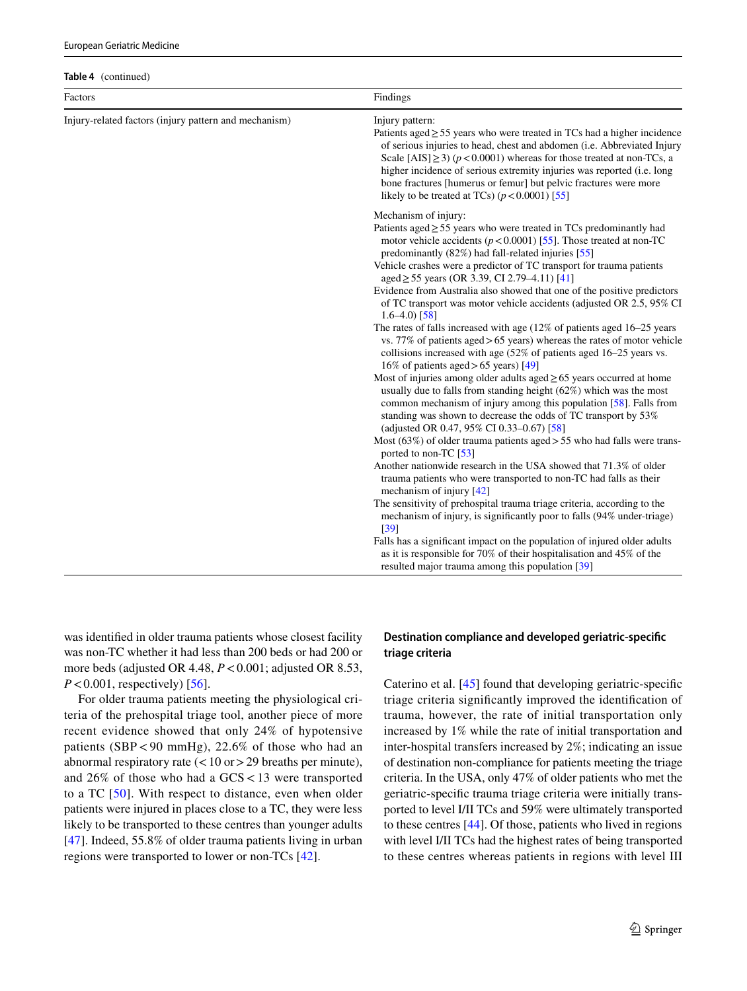| <b>European Geriatric Medicine</b> |  |
|------------------------------------|--|
|                                    |  |

|  | Table 4 (continued) |
|--|---------------------|
|--|---------------------|

| Factors                                               | Findings                                                                                                                                                                                                                                                                                                                                                                                                                                                                                                                                                                                                                                                                                                                                                                                                                                                                                                                                                                                                                                                                                                                                                                                                                                                                                                                                                                                                                                                                                                                                                                                                                                                                                                                                                                                                                |
|-------------------------------------------------------|-------------------------------------------------------------------------------------------------------------------------------------------------------------------------------------------------------------------------------------------------------------------------------------------------------------------------------------------------------------------------------------------------------------------------------------------------------------------------------------------------------------------------------------------------------------------------------------------------------------------------------------------------------------------------------------------------------------------------------------------------------------------------------------------------------------------------------------------------------------------------------------------------------------------------------------------------------------------------------------------------------------------------------------------------------------------------------------------------------------------------------------------------------------------------------------------------------------------------------------------------------------------------------------------------------------------------------------------------------------------------------------------------------------------------------------------------------------------------------------------------------------------------------------------------------------------------------------------------------------------------------------------------------------------------------------------------------------------------------------------------------------------------------------------------------------------------|
| Injury-related factors (injury pattern and mechanism) | Injury pattern:<br>Patients aged $\geq$ 55 years who were treated in TCs had a higher incidence<br>of serious injuries to head, chest and abdomen (i.e. Abbreviated Injury<br>Scale [AIS] $\geq$ 3) ( $p$ < 0.0001) whereas for those treated at non-TCs, a<br>higher incidence of serious extremity injuries was reported (i.e. long<br>bone fractures [humerus or femur] but pelvic fractures were more<br>likely to be treated at TCs) $(p < 0.0001)$ [55]                                                                                                                                                                                                                                                                                                                                                                                                                                                                                                                                                                                                                                                                                                                                                                                                                                                                                                                                                                                                                                                                                                                                                                                                                                                                                                                                                           |
|                                                       | Mechanism of injury:<br>Patients aged $\geq$ 55 years who were treated in TCs predominantly had<br>motor vehicle accidents ( $p < 0.0001$ ) [55]. Those treated at non-TC<br>predominantly (82%) had fall-related injuries [55]<br>Vehicle crashes were a predictor of TC transport for trauma patients<br>aged $\geq$ 55 years (OR 3.39, CI 2.79–4.11) [41]<br>Evidence from Australia also showed that one of the positive predictors<br>of TC transport was motor vehicle accidents (adjusted OR 2.5, 95% CI<br>$1.6 - 4.0$ [58]<br>The rates of falls increased with age $(12\% \text{ of patients aged } 16-25 \text{ years})$<br>vs. 77% of patients aged > 65 years) whereas the rates of motor vehicle<br>collisions increased with age (52% of patients aged 16–25 years vs.<br>16% of patients aged > 65 years) [49]<br>Most of injuries among older adults aged $\geq 65$ years occurred at home<br>usually due to falls from standing height (62%) which was the most<br>common mechanism of injury among this population [58]. Falls from<br>standing was shown to decrease the odds of TC transport by 53%<br>(adjusted OR 0.47, 95% CI 0.33-0.67) [58]<br>Most $(63\%)$ of older trauma patients aged > 55 who had falls were trans-<br>ported to non-TC [53]<br>Another nationwide research in the USA showed that 71.3% of older<br>trauma patients who were transported to non-TC had falls as their<br>mechanism of injury [42]<br>The sensitivity of prehospital trauma triage criteria, according to the<br>mechanism of injury, is significantly poor to falls (94% under-triage)<br>[39]<br>Falls has a significant impact on the population of injured older adults<br>as it is responsible for 70% of their hospitalisation and 45% of the<br>resulted major trauma among this population [39] |

was identifed in older trauma patients whose closest facility was non-TC whether it had less than 200 beds or had 200 or more beds (adjusted OR 4.48, *P*<0.001; adjusted OR 8.53,  $P < 0.001$ , respectively) [[56](#page-16-4)].

For older trauma patients meeting the physiological criteria of the prehospital triage tool, another piece of more recent evidence showed that only 24% of hypotensive patients (SBP<90 mmHg), 22.6% of those who had an abnormal respiratory rate  $(< 10$  or  $> 29$  breaths per minute), and 26% of those who had a GCS<13 were transported to a TC [\[50\]](#page-15-21). With respect to distance, even when older patients were injured in places close to a TC, they were less likely to be transported to these centres than younger adults [\[47](#page-15-20)]. Indeed, 55.8% of older trauma patients living in urban regions were transported to lower or non-TCs [[42\]](#page-15-16).

# **Destination compliance and developed geriatric‑specifc triage criteria**

Caterino et al. [\[45](#page-15-19)] found that developing geriatric-specifc triage criteria signifcantly improved the identifcation of trauma, however, the rate of initial transportation only increased by 1% while the rate of initial transportation and inter-hospital transfers increased by 2%; indicating an issue of destination non-compliance for patients meeting the triage criteria. In the USA, only 47% of older patients who met the geriatric-specifc trauma triage criteria were initially transported to level I/II TCs and 59% were ultimately transported to these centres [[44\]](#page-15-33). Of those, patients who lived in regions with level I/II TCs had the highest rates of being transported to these centres whereas patients in regions with level III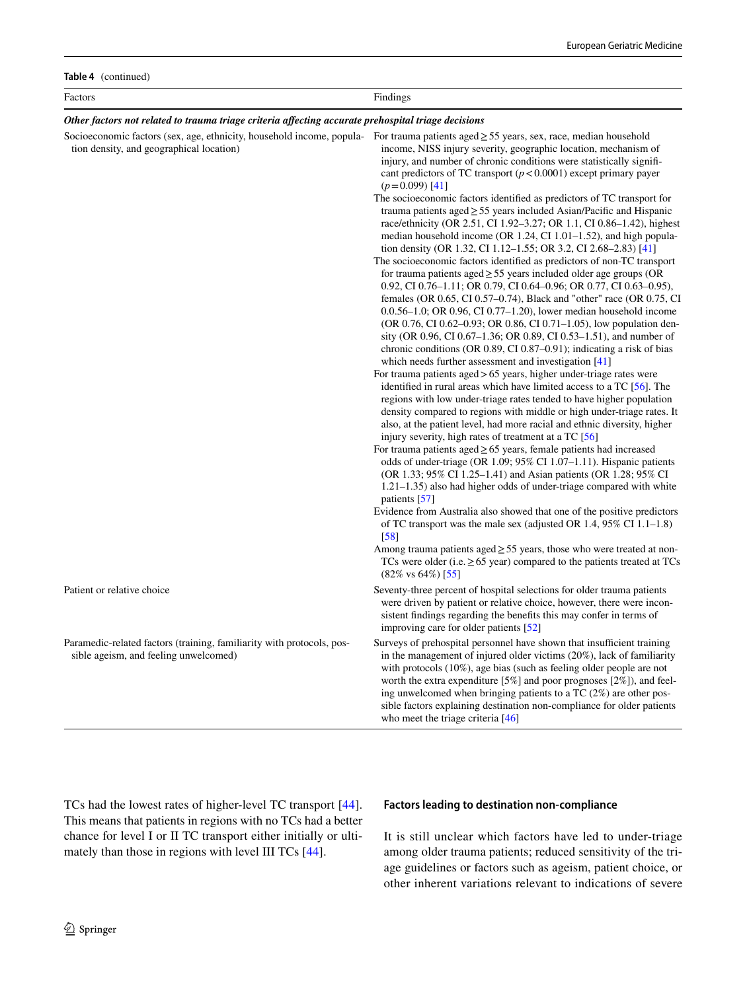| Table 4 (continued)                                                                                                                                                                |                                                                                                                                                                                                                                                                                                                                                                                                                                                                                                                                                                                                                                                                                                                                                                                                                                                                                                                                                                                                                                                                                                                                                                                                                                                                                                                                                                                                                                                                                                                                                                                                                                                                                                                                                                                                                                                                                                                                                                                                                                                                                                                                                                                                                                                                                                                                                                                                 |  |
|------------------------------------------------------------------------------------------------------------------------------------------------------------------------------------|-------------------------------------------------------------------------------------------------------------------------------------------------------------------------------------------------------------------------------------------------------------------------------------------------------------------------------------------------------------------------------------------------------------------------------------------------------------------------------------------------------------------------------------------------------------------------------------------------------------------------------------------------------------------------------------------------------------------------------------------------------------------------------------------------------------------------------------------------------------------------------------------------------------------------------------------------------------------------------------------------------------------------------------------------------------------------------------------------------------------------------------------------------------------------------------------------------------------------------------------------------------------------------------------------------------------------------------------------------------------------------------------------------------------------------------------------------------------------------------------------------------------------------------------------------------------------------------------------------------------------------------------------------------------------------------------------------------------------------------------------------------------------------------------------------------------------------------------------------------------------------------------------------------------------------------------------------------------------------------------------------------------------------------------------------------------------------------------------------------------------------------------------------------------------------------------------------------------------------------------------------------------------------------------------------------------------------------------------------------------------------------------------|--|
| Factors                                                                                                                                                                            | Findings                                                                                                                                                                                                                                                                                                                                                                                                                                                                                                                                                                                                                                                                                                                                                                                                                                                                                                                                                                                                                                                                                                                                                                                                                                                                                                                                                                                                                                                                                                                                                                                                                                                                                                                                                                                                                                                                                                                                                                                                                                                                                                                                                                                                                                                                                                                                                                                        |  |
| Other factors not related to trauma triage criteria affecting accurate prehospital triage decisions                                                                                |                                                                                                                                                                                                                                                                                                                                                                                                                                                                                                                                                                                                                                                                                                                                                                                                                                                                                                                                                                                                                                                                                                                                                                                                                                                                                                                                                                                                                                                                                                                                                                                                                                                                                                                                                                                                                                                                                                                                                                                                                                                                                                                                                                                                                                                                                                                                                                                                 |  |
| Socioeconomic factors (sex, age, ethnicity, household income, popula- For trauma patients aged ≥ 55 years, sex, race, median household<br>tion density, and geographical location) | income, NISS injury severity, geographic location, mechanism of<br>injury, and number of chronic conditions were statistically signifi-<br>cant predictors of TC transport $(p < 0.0001)$ except primary payer<br>$(p=0.099)$ [41]<br>The socioeconomic factors identified as predictors of TC transport for<br>trauma patients aged $\geq$ 55 years included Asian/Pacific and Hispanic<br>race/ethnicity (OR 2.51, CI 1.92-3.27; OR 1.1, CI 0.86-1.42), highest<br>median household income (OR 1.24, CI 1.01–1.52), and high popula-<br>tion density (OR 1.32, CI 1.12–1.55; OR 3.2, CI 2.68–2.83) [41]<br>The socioeconomic factors identified as predictors of non-TC transport<br>for trauma patients aged $\geq$ 55 years included older age groups (OR<br>0.92, CI 0.76-1.11; OR 0.79, CI 0.64-0.96; OR 0.77, CI 0.63-0.95),<br>females (OR 0.65, CI 0.57–0.74), Black and "other" race (OR 0.75, CI<br>$0.0.56-1.0$ ; OR 0.96, CI 0.77-1.20), lower median household income<br>(OR 0.76, CI 0.62-0.93; OR 0.86, CI 0.71-1.05), low population den-<br>sity (OR 0.96, CI 0.67–1.36; OR 0.89, CI 0.53–1.51), and number of<br>chronic conditions (OR 0.89, CI 0.87-0.91); indicating a risk of bias<br>which needs further assessment and investigation [41]<br>For trauma patients $\text{aged} > 65$ years, higher under-triage rates were<br>identified in rural areas which have limited access to a TC [56]. The<br>regions with low under-triage rates tended to have higher population<br>density compared to regions with middle or high under-triage rates. It<br>also, at the patient level, had more racial and ethnic diversity, higher<br>injury severity, high rates of treatment at a TC [56]<br>For trauma patients aged $\geq 65$ years, female patients had increased<br>odds of under-triage (OR 1.09; 95% CI 1.07-1.11). Hispanic patients<br>(OR 1.33; 95% CI 1.25–1.41) and Asian patients (OR 1.28; 95% CI<br>1.21–1.35) also had higher odds of under-triage compared with white<br>patients [57]<br>Evidence from Australia also showed that one of the positive predictors<br>of TC transport was the male sex (adjusted OR 1.4, 95% CI 1.1–1.8)<br>$\sqrt{58}$<br>Among trauma patients aged $\geq$ 55 years, those who were treated at non-<br>TCs were older (i.e. $\geq$ 65 year) compared to the patients treated at TCs<br>$(82\% \text{ vs } 64\%)$ [55] |  |
| Patient or relative choice                                                                                                                                                         | Seventy-three percent of hospital selections for older trauma patients<br>were driven by patient or relative choice, however, there were incon-<br>sistent findings regarding the benefits this may confer in terms of                                                                                                                                                                                                                                                                                                                                                                                                                                                                                                                                                                                                                                                                                                                                                                                                                                                                                                                                                                                                                                                                                                                                                                                                                                                                                                                                                                                                                                                                                                                                                                                                                                                                                                                                                                                                                                                                                                                                                                                                                                                                                                                                                                          |  |
|                                                                                                                                                                                    | improving care for older patients [52]                                                                                                                                                                                                                                                                                                                                                                                                                                                                                                                                                                                                                                                                                                                                                                                                                                                                                                                                                                                                                                                                                                                                                                                                                                                                                                                                                                                                                                                                                                                                                                                                                                                                                                                                                                                                                                                                                                                                                                                                                                                                                                                                                                                                                                                                                                                                                          |  |
| Paramedic-related factors (training, familiarity with protocols, pos-<br>sible ageism, and feeling unwelcomed)                                                                     | Surveys of prehospital personnel have shown that insufficient training<br>in the management of injured older victims (20%), lack of familiarity<br>with protocols $(10\%)$ , age bias (such as feeling older people are not<br>worth the extra expenditure [5%] and poor prognoses [2%]), and feel-<br>ing unwelcomed when bringing patients to a TC (2%) are other pos-<br>sible factors explaining destination non-compliance for older patients<br>who meet the triage criteria [46]                                                                                                                                                                                                                                                                                                                                                                                                                                                                                                                                                                                                                                                                                                                                                                                                                                                                                                                                                                                                                                                                                                                                                                                                                                                                                                                                                                                                                                                                                                                                                                                                                                                                                                                                                                                                                                                                                                         |  |

TCs had the lowest rates of higher-level TC transport [\[44](#page-15-33)]. This means that patients in regions with no TCs had a better chance for level I or II TC transport either initially or ultimately than those in regions with level III TCs [\[44](#page-15-33)].

#### **Factors leading to destination non‑compliance**

It is still unclear which factors have led to under-triage among older trauma patients; reduced sensitivity of the triage guidelines or factors such as ageism, patient choice, or other inherent variations relevant to indications of severe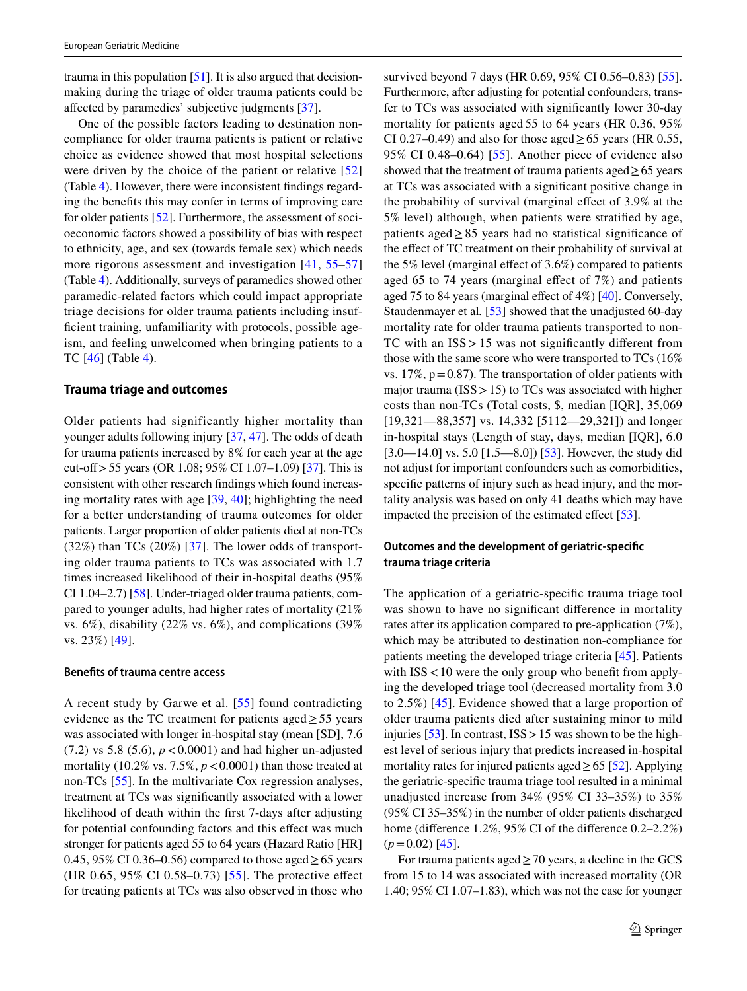trauma in this population [\[51](#page-15-29)]. It is also argued that decisionmaking during the triage of older trauma patients could be afected by paramedics' subjective judgments [\[37](#page-15-28)].

One of the possible factors leading to destination noncompliance for older trauma patients is patient or relative choice as evidence showed that most hospital selections were driven by the choice of the patient or relative [\[52\]](#page-15-22) (Table [4\)](#page-9-0). However, there were inconsistent fndings regarding the benefts this may confer in terms of improving care for older patients [\[52](#page-15-22)]. Furthermore, the assessment of socioeconomic factors showed a possibility of bias with respect to ethnicity, age, and sex (towards female sex) which needs more rigorous assessment and investigation [\[41,](#page-15-15) [55](#page-15-23)[–57\]](#page-16-0) (Table [4\)](#page-9-0). Additionally, surveys of paramedics showed other paramedic-related factors which could impact appropriate triage decisions for older trauma patients including insufficient training, unfamiliarity with protocols, possible ageism, and feeling unwelcomed when bringing patients to a TC [[46\]](#page-15-25) (Table [4](#page-9-0)).

#### **Trauma triage and outcomes**

Older patients had significantly higher mortality than younger adults following injury [[37,](#page-15-28) [47\]](#page-15-20). The odds of death for trauma patients increased by 8% for each year at the age cut-off > 55 years (OR 1.08;  $95\%$  CI 1.07–1.09) [[37](#page-15-28)]. This is consistent with other research fndings which found increasing mortality rates with age  $[39, 40]$  $[39, 40]$  $[39, 40]$  $[39, 40]$  $[39, 40]$ ; highlighting the need for a better understanding of trauma outcomes for older patients. Larger proportion of older patients died at non-TCs  $(32\%)$  than TCs  $(20\%)$  [[37](#page-15-28)]. The lower odds of transporting older trauma patients to TCs was associated with 1.7 times increased likelihood of their in-hospital deaths (95% CI 1.04–2.7) [\[58](#page-16-1)]. Under-triaged older trauma patients, compared to younger adults, had higher rates of mortality (21% vs. 6%), disability (22% vs. 6%), and complications (39% vs. 23%) [[49\]](#page-15-31).

#### **Benefts of trauma centre access**

A recent study by Garwe et al. [\[55\]](#page-15-23) found contradicting evidence as the TC treatment for patients aged  $\geq$  55 years was associated with longer in-hospital stay (mean [SD], 7.6 (7.2) vs 5.8 (5.6),  $p < 0.0001$ ) and had higher un-adjusted mortality (10.2% vs.  $7.5\%$ ,  $p < 0.0001$ ) than those treated at non-TCs [[55\]](#page-15-23). In the multivariate Cox regression analyses, treatment at TCs was signifcantly associated with a lower likelihood of death within the frst 7-days after adjusting for potential confounding factors and this effect was much stronger for patients aged 55 to 64 years (Hazard Ratio [HR] 0.45, 95% CI 0.36–0.56) compared to those aged  $\geq$  65 years (HR 0.65, 95% CI 0.58–0.73) [[55](#page-15-23)]. The protective efect for treating patients at TCs was also observed in those who

survived beyond 7 days (HR 0.69, 95% CI 0.56–0.83) [\[55](#page-15-23)]. Furthermore, after adjusting for potential confounders, transfer to TCs was associated with signifcantly lower 30-day mortality for patients aged 55 to 64 years (HR 0.36, 95% CI 0.27–0.49) and also for those aged  $\geq$  65 years (HR 0.55, 95% CI 0.48–0.64) [[55](#page-15-23)]. Another piece of evidence also showed that the treatment of trauma patients aged $\geq 65$  years at TCs was associated with a signifcant positive change in the probability of survival (marginal efect of 3.9% at the 5% level) although, when patients were stratifed by age, patients aged≥85 years had no statistical signifcance of the effect of TC treatment on their probability of survival at the 5% level (marginal effect of  $3.6\%$ ) compared to patients aged 65 to 74 years (marginal efect of 7%) and patients aged 75 to 84 years (marginal efect of 4%) [\[40\]](#page-15-24). Conversely, Staudenmayer et al*.* [\[53](#page-15-27)] showed that the unadjusted 60-day mortality rate for older trauma patients transported to non-TC with an ISS>15 was not signifcantly diferent from those with the same score who were transported to TCs (16% vs.  $17\%$ ,  $p=0.87$ ). The transportation of older patients with major trauma ( $ISS > 15$ ) to TCs was associated with higher costs than non-TCs (Total costs, \$, median [IQR], 35,069 [19,321—88,357] vs. 14,332 [5112—29,321]) and longer in-hospital stays (Length of stay, days, median [IQR], 6.0 [3.0—14.0] vs. 5.0 [1.5—8.0]) [\[53](#page-15-27)]. However, the study did not adjust for important confounders such as comorbidities, specific patterns of injury such as head injury, and the mortality analysis was based on only 41 deaths which may have impacted the precision of the estimated effect  $[53]$  $[53]$  $[53]$ .

# **Outcomes and the development of geriatric‑specifc trauma triage criteria**

The application of a geriatric-specifc trauma triage tool was shown to have no significant difference in mortality rates after its application compared to pre-application (7%), which may be attributed to destination non-compliance for patients meeting the developed triage criteria [[45\]](#page-15-19). Patients with  $ISS < 10$  were the only group who benefit from applying the developed triage tool (decreased mortality from 3.0 to 2.5%) [[45](#page-15-19)]. Evidence showed that a large proportion of older trauma patients died after sustaining minor to mild injuries [[53\]](#page-15-27). In contrast,  $ISS > 15$  was shown to be the highest level of serious injury that predicts increased in-hospital mortality rates for injured patients aged  $\geq 65$  [\[52](#page-15-22)]. Applying the geriatric-specifc trauma triage tool resulted in a minimal unadjusted increase from 34% (95% CI 33–35%) to 35% (95% CI 35–35%) in the number of older patients discharged home (difference 1.2%, 95% CI of the difference 0.2–2.2%)  $(p=0.02)$  [[45](#page-15-19)].

For trauma patients aged  $\geq$  70 years, a decline in the GCS from 15 to 14 was associated with increased mortality (OR 1.40; 95% CI 1.07–1.83), which was not the case for younger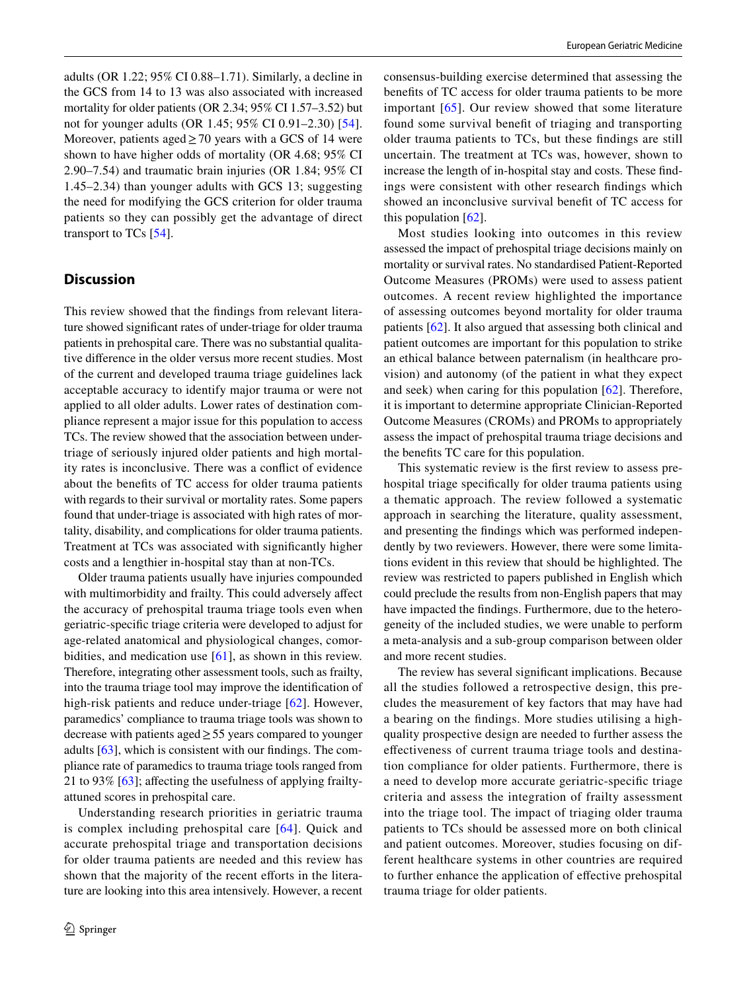adults (OR 1.22; 95% CI 0.88–1.71). Similarly, a decline in the GCS from 14 to 13 was also associated with increased mortality for older patients (OR 2.34; 95% CI 1.57–3.52) but not for younger adults (OR 1.45; 95% CI 0.91–2.30) [[54](#page-15-30)]. Moreover, patients aged  $\geq$  70 years with a GCS of 14 were shown to have higher odds of mortality (OR 4.68; 95% CI 2.90–7.54) and traumatic brain injuries (OR 1.84; 95% CI 1.45–2.34) than younger adults with GCS 13; suggesting the need for modifying the GCS criterion for older trauma patients so they can possibly get the advantage of direct transport to TCs [[54\]](#page-15-30).

# **Discussion**

This review showed that the fndings from relevant literature showed signifcant rates of under-triage for older trauma patients in prehospital care. There was no substantial qualitative diference in the older versus more recent studies. Most of the current and developed trauma triage guidelines lack acceptable accuracy to identify major trauma or were not applied to all older adults. Lower rates of destination compliance represent a major issue for this population to access TCs. The review showed that the association between undertriage of seriously injured older patients and high mortality rates is inconclusive. There was a confict of evidence about the benefts of TC access for older trauma patients with regards to their survival or mortality rates. Some papers found that under-triage is associated with high rates of mortality, disability, and complications for older trauma patients. Treatment at TCs was associated with signifcantly higher costs and a lengthier in-hospital stay than at non-TCs.

Older trauma patients usually have injuries compounded with multimorbidity and frailty. This could adversely afect the accuracy of prehospital trauma triage tools even when geriatric-specifc triage criteria were developed to adjust for age-related anatomical and physiological changes, comorbidities, and medication use [[61](#page-16-5)], as shown in this review. Therefore, integrating other assessment tools, such as frailty, into the trauma triage tool may improve the identifcation of high-risk patients and reduce under-triage [[62](#page-16-6)]. However, paramedics' compliance to trauma triage tools was shown to decrease with patients aged≥55 years compared to younger adults [[63\]](#page-16-7), which is consistent with our fndings. The compliance rate of paramedics to trauma triage tools ranged from 21 to 93% [\[63](#page-16-7)]; afecting the usefulness of applying frailtyattuned scores in prehospital care.

Understanding research priorities in geriatric trauma is complex including prehospital care [[64](#page-16-8)]. Quick and accurate prehospital triage and transportation decisions for older trauma patients are needed and this review has shown that the majority of the recent efforts in the literature are looking into this area intensively. However, a recent consensus-building exercise determined that assessing the benefts of TC access for older trauma patients to be more important [\[65\]](#page-16-9). Our review showed that some literature found some survival beneft of triaging and transporting older trauma patients to TCs, but these fndings are still uncertain. The treatment at TCs was, however, shown to increase the length of in-hospital stay and costs. These fndings were consistent with other research fndings which showed an inconclusive survival beneft of TC access for this population  $[62]$  $[62]$ .

Most studies looking into outcomes in this review assessed the impact of prehospital triage decisions mainly on mortality or survival rates. No standardised Patient-Reported Outcome Measures (PROMs) were used to assess patient outcomes. A recent review highlighted the importance of assessing outcomes beyond mortality for older trauma patients [\[62\]](#page-16-6). It also argued that assessing both clinical and patient outcomes are important for this population to strike an ethical balance between paternalism (in healthcare provision) and autonomy (of the patient in what they expect and seek) when caring for this population [\[62](#page-16-6)]. Therefore, it is important to determine appropriate Clinician-Reported Outcome Measures (CROMs) and PROMs to appropriately assess the impact of prehospital trauma triage decisions and the benefts TC care for this population.

This systematic review is the frst review to assess prehospital triage specifcally for older trauma patients using a thematic approach. The review followed a systematic approach in searching the literature, quality assessment, and presenting the fndings which was performed independently by two reviewers. However, there were some limitations evident in this review that should be highlighted. The review was restricted to papers published in English which could preclude the results from non-English papers that may have impacted the fndings. Furthermore, due to the heterogeneity of the included studies, we were unable to perform a meta-analysis and a sub-group comparison between older and more recent studies.

The review has several signifcant implications. Because all the studies followed a retrospective design, this precludes the measurement of key factors that may have had a bearing on the fndings. More studies utilising a highquality prospective design are needed to further assess the efectiveness of current trauma triage tools and destination compliance for older patients. Furthermore, there is a need to develop more accurate geriatric-specifc triage criteria and assess the integration of frailty assessment into the triage tool. The impact of triaging older trauma patients to TCs should be assessed more on both clinical and patient outcomes. Moreover, studies focusing on different healthcare systems in other countries are required to further enhance the application of efective prehospital trauma triage for older patients.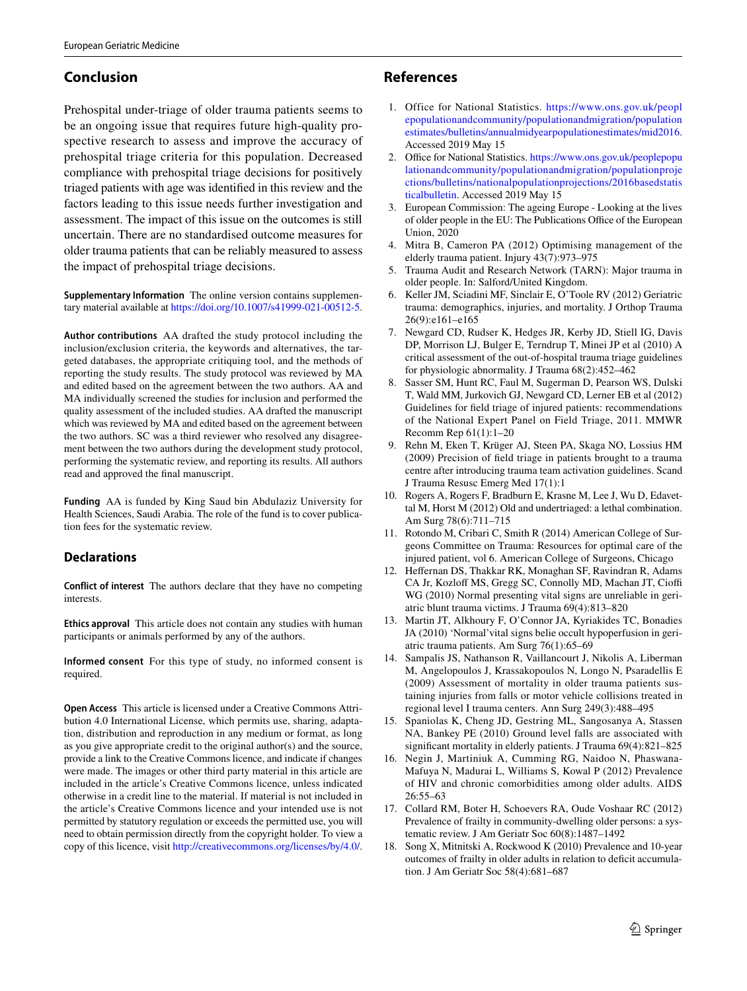# **Conclusion**

Prehospital under-triage of older trauma patients seems to be an ongoing issue that requires future high-quality prospective research to assess and improve the accuracy of prehospital triage criteria for this population. Decreased compliance with prehospital triage decisions for positively triaged patients with age was identifed in this review and the factors leading to this issue needs further investigation and assessment. The impact of this issue on the outcomes is still uncertain. There are no standardised outcome measures for older trauma patients that can be reliably measured to assess the impact of prehospital triage decisions.

**Supplementary Information** The online version contains supplementary material available at<https://doi.org/10.1007/s41999-021-00512-5>.

**Author contributions** AA drafted the study protocol including the inclusion/exclusion criteria, the keywords and alternatives, the targeted databases, the appropriate critiquing tool, and the methods of reporting the study results. The study protocol was reviewed by MA and edited based on the agreement between the two authors. AA and MA individually screened the studies for inclusion and performed the quality assessment of the included studies. AA drafted the manuscript which was reviewed by MA and edited based on the agreement between the two authors. SC was a third reviewer who resolved any disagreement between the two authors during the development study protocol, performing the systematic review, and reporting its results. All authors read and approved the fnal manuscript.

**Funding** AA is funded by King Saud bin Abdulaziz University for Health Sciences, Saudi Arabia. The role of the fund is to cover publication fees for the systematic review.

# **Declarations**

**Conflict of interest** The authors declare that they have no competing interests.

**Ethics approval** This article does not contain any studies with human participants or animals performed by any of the authors.

**Informed consent** For this type of study, no informed consent is required.

**Open Access** This article is licensed under a Creative Commons Attribution 4.0 International License, which permits use, sharing, adaptation, distribution and reproduction in any medium or format, as long as you give appropriate credit to the original author(s) and the source, provide a link to the Creative Commons licence, and indicate if changes were made. The images or other third party material in this article are included in the article's Creative Commons licence, unless indicated otherwise in a credit line to the material. If material is not included in the article's Creative Commons licence and your intended use is not permitted by statutory regulation or exceeds the permitted use, you will need to obtain permission directly from the copyright holder. To view a copy of this licence, visit <http://creativecommons.org/licenses/by/4.0/>.

# **References**

- <span id="page-14-0"></span>1. Office for National Statistics. [https://www.ons.gov.uk/peopl](https://www.ons.gov.uk/peoplepopulationandcommunity/populationandmigration/populationestimates/bulletins/annualmidyearpopulationestimates/mid2016) [epopulationandcommunity/populationandmigration/population](https://www.ons.gov.uk/peoplepopulationandcommunity/populationandmigration/populationestimates/bulletins/annualmidyearpopulationestimates/mid2016) [estimates/bulletins/annualmidyearpopulationestimates/mid2016](https://www.ons.gov.uk/peoplepopulationandcommunity/populationandmigration/populationestimates/bulletins/annualmidyearpopulationestimates/mid2016). Accessed 2019 May 15
- <span id="page-14-1"></span>2. Office for National Statistics. [https://www.ons.gov.uk/peoplepopu](https://www.ons.gov.uk/peoplepopulationandcommunity/populationandmigration/populationprojections/bulletins/nationalpopulationprojections/2016basedstatisticalbulletin) [lationandcommunity/populationandmigration/populationproje](https://www.ons.gov.uk/peoplepopulationandcommunity/populationandmigration/populationprojections/bulletins/nationalpopulationprojections/2016basedstatisticalbulletin) [ctions/bulletins/nationalpopulationprojections/2016basedstatis](https://www.ons.gov.uk/peoplepopulationandcommunity/populationandmigration/populationprojections/bulletins/nationalpopulationprojections/2016basedstatisticalbulletin) [ticalbulletin](https://www.ons.gov.uk/peoplepopulationandcommunity/populationandmigration/populationprojections/bulletins/nationalpopulationprojections/2016basedstatisticalbulletin). Accessed 2019 May 15
- <span id="page-14-2"></span>3. European Commission: The ageing Europe - Looking at the lives of older people in the EU: The Publications Office of the European Union, 2020
- <span id="page-14-3"></span>4. Mitra B, Cameron PA (2012) Optimising management of the elderly trauma patient. Injury 43(7):973–975
- <span id="page-14-4"></span>5. Trauma Audit and Research Network (TARN): Major trauma in older people. In: Salford/United Kingdom.
- <span id="page-14-5"></span>6. Keller JM, Sciadini MF, Sinclair E, O'Toole RV (2012) Geriatric trauma: demographics, injuries, and mortality. J Orthop Trauma 26(9):e161–e165
- <span id="page-14-6"></span>7. Newgard CD, Rudser K, Hedges JR, Kerby JD, Stiell IG, Davis DP, Morrison LJ, Bulger E, Terndrup T, Minei JP et al (2010) A critical assessment of the out-of-hospital trauma triage guidelines for physiologic abnormality. J Trauma 68(2):452–462
- <span id="page-14-7"></span>8. Sasser SM, Hunt RC, Faul M, Sugerman D, Pearson WS, Dulski T, Wald MM, Jurkovich GJ, Newgard CD, Lerner EB et al (2012) Guidelines for feld triage of injured patients: recommendations of the National Expert Panel on Field Triage, 2011. MMWR Recomm Rep 61(1):1–20
- <span id="page-14-8"></span>9. Rehn M, Eken T, Krüger AJ, Steen PA, Skaga NO, Lossius HM (2009) Precision of feld triage in patients brought to a trauma centre after introducing trauma team activation guidelines. Scand J Trauma Resusc Emerg Med 17(1):1
- <span id="page-14-9"></span>10. Rogers A, Rogers F, Bradburn E, Krasne M, Lee J, Wu D, Edavettal M, Horst M (2012) Old and undertriaged: a lethal combination. Am Surg 78(6):711–715
- <span id="page-14-10"></span>11. Rotondo M, Cribari C, Smith R (2014) American College of Surgeons Committee on Trauma: Resources for optimal care of the injured patient, vol 6. American College of Surgeons, Chicago
- <span id="page-14-11"></span>12. Heffernan DS, Thakkar RK, Monaghan SF, Ravindran R, Adams CA Jr, Kozloff MS, Gregg SC, Connolly MD, Machan JT, Cioffi WG (2010) Normal presenting vital signs are unreliable in geriatric blunt trauma victims. J Trauma 69(4):813–820
- <span id="page-14-12"></span>13. Martin JT, Alkhoury F, O'Connor JA, Kyriakides TC, Bonadies JA (2010) 'Normal'vital signs belie occult hypoperfusion in geriatric trauma patients. Am Surg 76(1):65–69
- <span id="page-14-13"></span>14. Sampalis JS, Nathanson R, Vaillancourt J, Nikolis A, Liberman M, Angelopoulos J, Krassakopoulos N, Longo N, Psaradellis E (2009) Assessment of mortality in older trauma patients sustaining injuries from falls or motor vehicle collisions treated in regional level I trauma centers. Ann Surg 249(3):488–495
- <span id="page-14-14"></span>15. Spaniolas K, Cheng JD, Gestring ML, Sangosanya A, Stassen NA, Bankey PE (2010) Ground level falls are associated with signifcant mortality in elderly patients. J Trauma 69(4):821–825
- <span id="page-14-15"></span>16. Negin J, Martiniuk A, Cumming RG, Naidoo N, Phaswana-Mafuya N, Madurai L, Williams S, Kowal P (2012) Prevalence of HIV and chronic comorbidities among older adults. AIDS 26:55–63
- <span id="page-14-16"></span>17. Collard RM, Boter H, Schoevers RA, Oude Voshaar RC (2012) Prevalence of frailty in community-dwelling older persons: a systematic review. J Am Geriatr Soc 60(8):1487–1492
- <span id="page-14-17"></span>18. Song X, Mitnitski A, Rockwood K (2010) Prevalence and 10-year outcomes of frailty in older adults in relation to deficit accumulation. J Am Geriatr Soc 58(4):681–687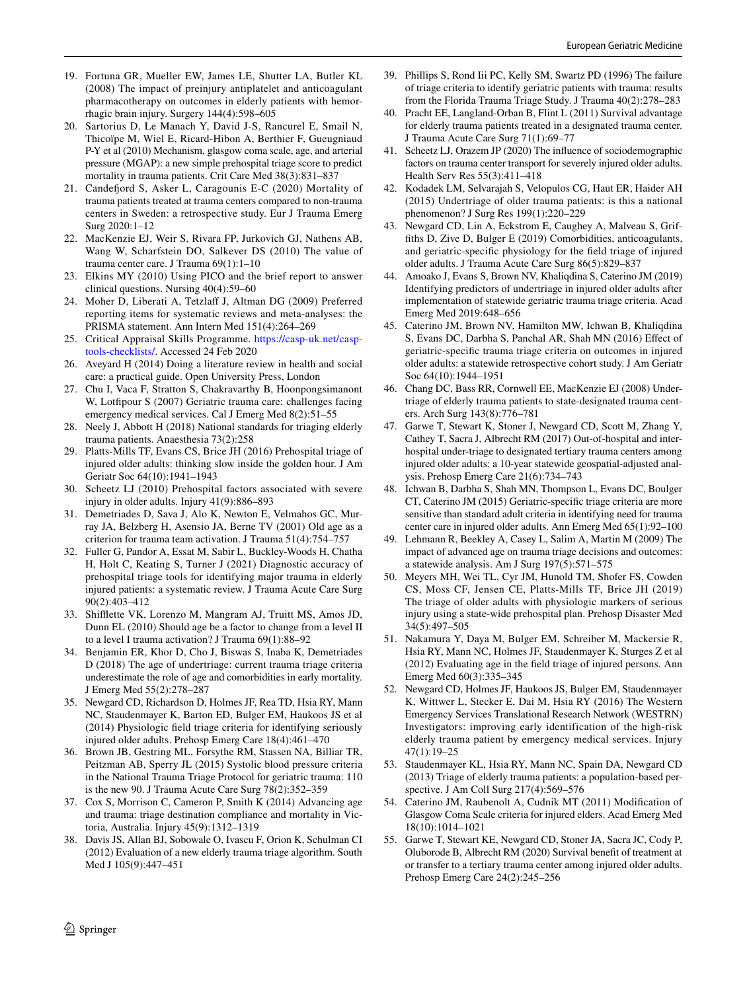- <span id="page-15-0"></span>19. Fortuna GR, Mueller EW, James LE, Shutter LA, Butler KL (2008) The impact of preinjury antiplatelet and anticoagulant pharmacotherapy on outcomes in elderly patients with hemorrhagic brain injury. Surgery 144(4):598–605
- <span id="page-15-1"></span>20. Sartorius D, Le Manach Y, David J-S, Rancurel E, Smail N, Thicoïpe M, Wiel E, Ricard-Hibon A, Berthier F, Gueugniaud P-Y et al (2010) Mechanism, glasgow coma scale, age, and arterial pressure (MGAP): a new simple prehospital triage score to predict mortality in trauma patients. Crit Care Med 38(3):831–837
- <span id="page-15-2"></span>21. Candeford S, Asker L, Caragounis E-C (2020) Mortality of trauma patients treated at trauma centers compared to non-trauma centers in Sweden: a retrospective study. Eur J Trauma Emerg Surg 2020:1–12
- <span id="page-15-3"></span>22. MacKenzie EJ, Weir S, Rivara FP, Jurkovich GJ, Nathens AB, Wang W, Scharfstein DO, Salkever DS (2010) The value of trauma center care. J Trauma 69(1):1–10
- <span id="page-15-4"></span>23. Elkins MY (2010) Using PICO and the brief report to answer clinical questions. Nursing 40(4):59–60
- <span id="page-15-5"></span>24. Moher D, Liberati A, Tetzlaf J, Altman DG (2009) Preferred reporting items for systematic reviews and meta-analyses: the PRISMA statement. Ann Intern Med 151(4):264–269
- <span id="page-15-6"></span>25. Critical Appraisal Skills Programme. [https://casp-uk.net/casp](https://casp-uk.net/casp-tools-checklists/)[tools-checklists/.](https://casp-uk.net/casp-tools-checklists/) Accessed 24 Feb 2020
- <span id="page-15-7"></span>26. Aveyard H (2014) Doing a literature review in health and social care: a practical guide. Open University Press, London
- <span id="page-15-8"></span>27. Chu I, Vaca F, Stratton S, Chakravarthy B, Hoonpongsimanont W, Lotfpour S (2007) Geriatric trauma care: challenges facing emergency medical services. Cal J Emerg Med 8(2):51–55
- 28. Neely J, Abbott H (2018) National standards for triaging elderly trauma patients. Anaesthesia 73(2):258
- <span id="page-15-34"></span>29. Platts-Mills TF, Evans CS, Brice JH (2016) Prehospital triage of injured older adults: thinking slow inside the golden hour. J Am Geriatr Soc 64(10):1941–1943
- <span id="page-15-9"></span>30. Scheetz LJ (2010) Prehospital factors associated with severe injury in older adults. Injury 41(9):886–893
- <span id="page-15-10"></span>31. Demetriades D, Sava J, Alo K, Newton E, Velmahos GC, Murray JA, Belzberg H, Asensio JA, Berne TV (2001) Old age as a criterion for trauma team activation. J Trauma 51(4):754–757
- 32. Fuller G, Pandor A, Essat M, Sabir L, Buckley-Woods H, Chatha H, Holt C, Keating S, Turner J (2021) Diagnostic accuracy of prehospital triage tools for identifying major trauma in elderly injured patients: a systematic review. J Trauma Acute Care Surg 90(2):403–412
- <span id="page-15-11"></span>33. Shifette VK, Lorenzo M, Mangram AJ, Truitt MS, Amos JD, Dunn EL (2010) Should age be a factor to change from a level II to a level I trauma activation? J Trauma 69(1):88–92
- <span id="page-15-12"></span>34. Benjamin ER, Khor D, Cho J, Biswas S, Inaba K, Demetriades D (2018) The age of undertriage: current trauma triage criteria underestimate the role of age and comorbidities in early mortality. J Emerg Med 55(2):278–287
- <span id="page-15-13"></span>35. Newgard CD, Richardson D, Holmes JF, Rea TD, Hsia RY, Mann NC, Staudenmayer K, Barton ED, Bulger EM, Haukoos JS et al (2014) Physiologic feld triage criteria for identifying seriously injured older adults. Prehosp Emerg Care 18(4):461–470
- <span id="page-15-14"></span>36. Brown JB, Gestring ML, Forsythe RM, Stassen NA, Billiar TR, Peitzman AB, Sperry JL (2015) Systolic blood pressure criteria in the National Trauma Triage Protocol for geriatric trauma: 110 is the new 90. J Trauma Acute Care Surg 78(2):352–359
- <span id="page-15-28"></span>37. Cox S, Morrison C, Cameron P, Smith K (2014) Advancing age and trauma: triage destination compliance and mortality in Victoria, Australia. Injury 45(9):1312–1319
- <span id="page-15-18"></span>38. Davis JS, Allan BJ, Sobowale O, Ivascu F, Orion K, Schulman CI (2012) Evaluation of a new elderly trauma triage algorithm. South Med J 105(9):447–451
- <span id="page-15-32"></span>39. Phillips S, Rond Iii PC, Kelly SM, Swartz PD (1996) The failure of triage criteria to identify geriatric patients with trauma: results from the Florida Trauma Triage Study. J Trauma 40(2):278–283
- <span id="page-15-24"></span>40. Pracht EE, Langland-Orban B, Flint L (2011) Survival advantage for elderly trauma patients treated in a designated trauma center. J Trauma Acute Care Surg 71(1):69–77
- <span id="page-15-15"></span>41. Scheetz LJ, Orazem JP (2020) The infuence of sociodemographic factors on trauma center transport for severely injured older adults. Health Serv Res 55(3):411–418
- <span id="page-15-16"></span>42. Kodadek LM, Selvarajah S, Velopulos CG, Haut ER, Haider AH (2015) Undertriage of older trauma patients: is this a national phenomenon? J Surg Res 199(1):220–229
- <span id="page-15-17"></span>43. Newgard CD, Lin A, Eckstrom E, Caughey A, Malveau S, Griffths D, Zive D, Bulger E (2019) Comorbidities, anticoagulants, and geriatric-specifc physiology for the feld triage of injured older adults. J Trauma Acute Care Surg 86(5):829–837
- <span id="page-15-33"></span>44. Amoako J, Evans S, Brown NV, Khaliqdina S, Caterino JM (2019) Identifying predictors of undertriage in injured older adults after implementation of statewide geriatric trauma triage criteria. Acad Emerg Med 2019:648–656
- <span id="page-15-19"></span>45. Caterino JM, Brown NV, Hamilton MW, Ichwan B, Khaliqdina S, Evans DC, Darbha S, Panchal AR, Shah MN (2016) Efect of geriatric-specifc trauma triage criteria on outcomes in injured older adults: a statewide retrospective cohort study. J Am Geriatr Soc 64(10):1944–1951
- <span id="page-15-25"></span>46. Chang DC, Bass RR, Cornwell EE, MacKenzie EJ (2008) Undertriage of elderly trauma patients to state-designated trauma centers. Arch Surg 143(8):776–781
- <span id="page-15-20"></span>47. Garwe T, Stewart K, Stoner J, Newgard CD, Scott M, Zhang Y, Cathey T, Sacra J, Albrecht RM (2017) Out-of-hospital and interhospital under-triage to designated tertiary trauma centers among injured older adults: a 10-year statewide geospatial-adjusted analysis. Prehosp Emerg Care 21(6):734–743
- <span id="page-15-26"></span>48. Ichwan B, Darbha S, Shah MN, Thompson L, Evans DC, Boulger CT, Caterino JM (2015) Geriatric-specifc triage criteria are more sensitive than standard adult criteria in identifying need for trauma center care in injured older adults. Ann Emerg Med 65(1):92–100
- <span id="page-15-31"></span>49. Lehmann R, Beekley A, Casey L, Salim A, Martin M (2009) The impact of advanced age on trauma triage decisions and outcomes: a statewide analysis. Am J Surg 197(5):571–575
- <span id="page-15-21"></span>50. Meyers MH, Wei TL, Cyr JM, Hunold TM, Shofer FS, Cowden CS, Moss CF, Jensen CE, Platts-Mills TF, Brice JH (2019) The triage of older adults with physiologic markers of serious injury using a state-wide prehospital plan. Prehosp Disaster Med 34(5):497–505
- <span id="page-15-29"></span>51. Nakamura Y, Daya M, Bulger EM, Schreiber M, Mackersie R, Hsia RY, Mann NC, Holmes JF, Staudenmayer K, Sturges Z et al (2012) Evaluating age in the feld triage of injured persons. Ann Emerg Med 60(3):335–345
- <span id="page-15-22"></span>52. Newgard CD, Holmes JF, Haukoos JS, Bulger EM, Staudenmayer K, Wittwer L, Stecker E, Dai M, Hsia RY (2016) The Western Emergency Services Translational Research Network (WESTRN) Investigators: improving early identification of the high-risk elderly trauma patient by emergency medical services. Injury 47(1):19–25
- <span id="page-15-27"></span>53. Staudenmayer KL, Hsia RY, Mann NC, Spain DA, Newgard CD (2013) Triage of elderly trauma patients: a population-based perspective. J Am Coll Surg 217(4):569–576
- <span id="page-15-30"></span>54. Caterino JM, Raubenolt A, Cudnik MT (2011) Modifcation of Glasgow Coma Scale criteria for injured elders. Acad Emerg Med 18(10):1014–1021
- <span id="page-15-23"></span>55. Garwe T, Stewart KE, Newgard CD, Stoner JA, Sacra JC, Cody P, Oluborode B, Albrecht RM (2020) Survival beneft of treatment at or transfer to a tertiary trauma center among injured older adults. Prehosp Emerg Care 24(2):245–256